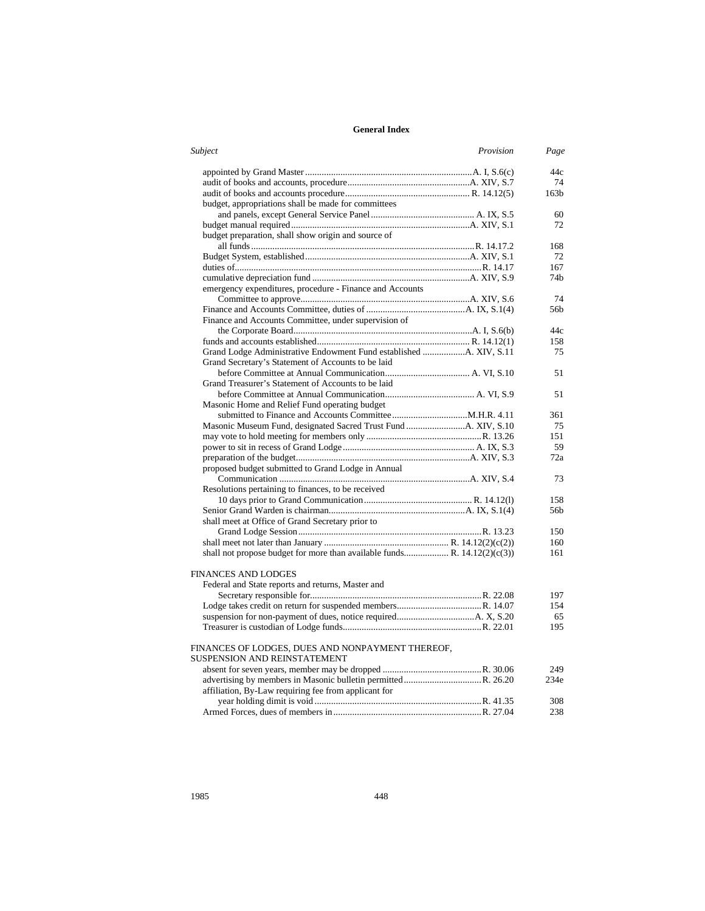| Subject                                                                  | Provision | Page             |
|--------------------------------------------------------------------------|-----------|------------------|
|                                                                          |           | 44c              |
|                                                                          |           | 74               |
|                                                                          |           | 163 <sub>b</sub> |
| budget, appropriations shall be made for committees                      |           |                  |
|                                                                          |           | 60               |
|                                                                          |           | 72               |
| budget preparation, shall show origin and source of                      |           |                  |
|                                                                          |           | 168              |
|                                                                          |           | 72               |
|                                                                          |           | 167              |
|                                                                          |           | 74 <sub>b</sub>  |
| emergency expenditures, procedure - Finance and Accounts                 |           |                  |
|                                                                          |           | 74               |
|                                                                          |           | 56b              |
| Finance and Accounts Committee, under supervision of                     |           |                  |
|                                                                          |           | 44c              |
|                                                                          |           | 158              |
| Grand Secretary's Statement of Accounts to be laid                       |           | 75               |
|                                                                          |           | 51               |
| Grand Treasurer's Statement of Accounts to be laid                       |           |                  |
|                                                                          |           | 51               |
| Masonic Home and Relief Fund operating budget                            |           |                  |
|                                                                          |           | 361              |
|                                                                          |           | 75               |
|                                                                          |           | 151              |
|                                                                          |           | 59               |
|                                                                          |           | 72a              |
| proposed budget submitted to Grand Lodge in Annual                       |           |                  |
|                                                                          |           | 73               |
| Resolutions pertaining to finances, to be received                       |           |                  |
|                                                                          |           | 158              |
|                                                                          |           | 56b              |
| shall meet at Office of Grand Secretary prior to                         |           |                  |
|                                                                          |           | 150              |
|                                                                          |           | 160              |
| shall not propose budget for more than available funds R. 14.12(2)(c(3)) |           | 161              |
| FINANCES AND LODGES                                                      |           |                  |
| Federal and State reports and returns, Master and                        |           |                  |
|                                                                          |           | 197              |
|                                                                          |           | 154              |
|                                                                          |           | 65               |
|                                                                          |           | 195              |
| FINANCES OF LODGES, DUES AND NONPAYMENT THEREOF,                         |           |                  |
| <b>SUSPENSION AND REINSTATEMENT</b>                                      |           |                  |
|                                                                          |           | 249              |
|                                                                          |           | 234e             |
| affiliation, By-Law requiring fee from applicant for                     |           |                  |
|                                                                          |           | 308              |
|                                                                          |           | 238              |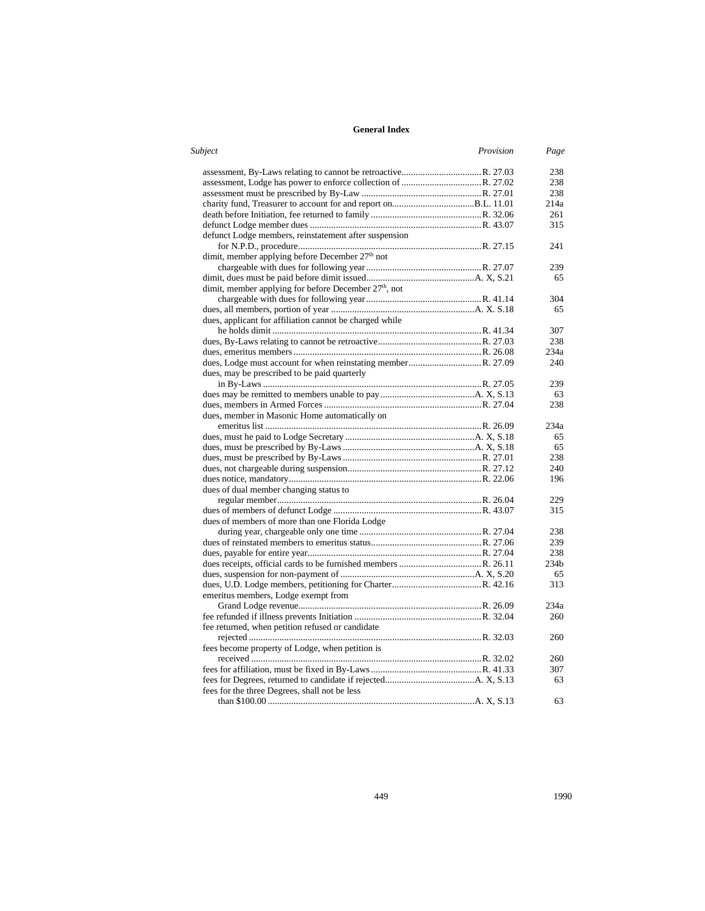| Subject<br>Provision                                              | Page             |
|-------------------------------------------------------------------|------------------|
|                                                                   | 238              |
|                                                                   | 238              |
|                                                                   | 238              |
|                                                                   | 214a             |
|                                                                   | 261              |
|                                                                   | 315              |
| defunct Lodge members, reinstatement after suspension             |                  |
|                                                                   | 241              |
| dimit, member applying before December 27 <sup>th</sup> not       |                  |
|                                                                   | 239              |
|                                                                   | 65               |
| dimit, member applying for before December 27 <sup>th</sup> , not |                  |
|                                                                   | 304              |
|                                                                   | 65               |
| dues, applicant for affiliation cannot be charged while           |                  |
|                                                                   | 307              |
|                                                                   | 238              |
|                                                                   | 234a             |
|                                                                   | 240              |
| dues, may be prescribed to be paid quarterly                      |                  |
|                                                                   | 239              |
|                                                                   | 63               |
|                                                                   | 238              |
| dues, member in Masonic Home automatically on                     |                  |
|                                                                   | 234a             |
|                                                                   | 65               |
|                                                                   | 65               |
|                                                                   | 238              |
|                                                                   | 240              |
|                                                                   | 196              |
| dues of dual member changing status to                            |                  |
|                                                                   | 229              |
|                                                                   | 315              |
| dues of members of more than one Florida Lodge                    |                  |
|                                                                   | 238              |
|                                                                   | 239              |
|                                                                   | 238              |
|                                                                   | 234 <sub>b</sub> |
|                                                                   | 65               |
|                                                                   | 313              |
| emeritus members, Lodge exempt from                               |                  |
|                                                                   | 234a             |
|                                                                   | 260              |
| fee returned, when petition refused or candidate                  |                  |
|                                                                   | 260              |
| fees become property of Lodge, when petition is                   |                  |
|                                                                   | 260              |
|                                                                   | 307              |
|                                                                   | 63               |
| fees for the three Degrees, shall not be less                     |                  |
|                                                                   | 63               |
|                                                                   |                  |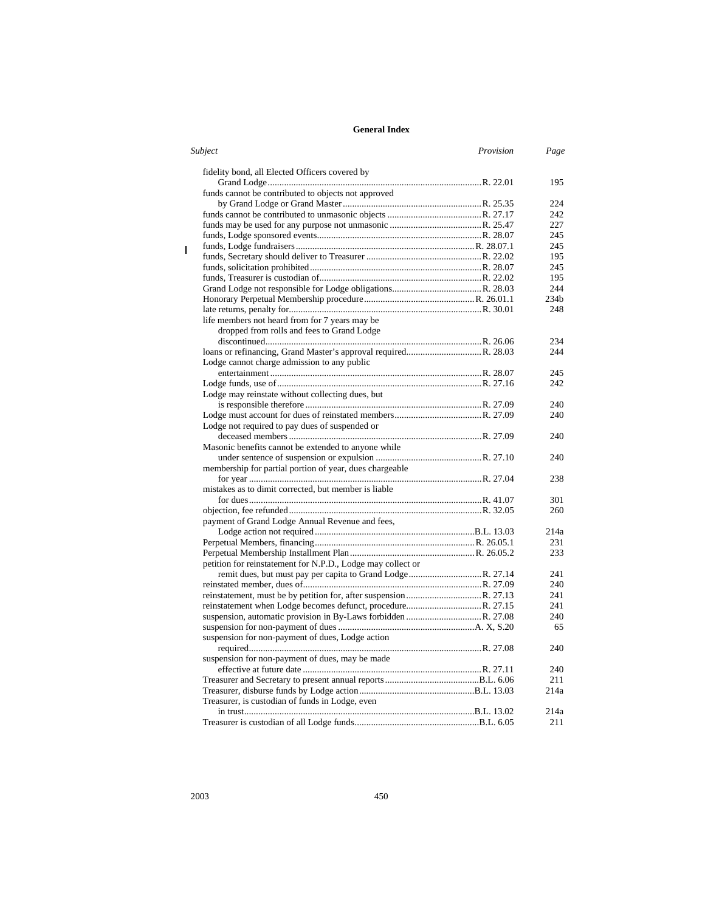| Subject                                                     | Provision | Page             |
|-------------------------------------------------------------|-----------|------------------|
| fidelity bond, all Elected Officers covered by              |           |                  |
|                                                             |           | 195              |
| funds cannot be contributed to objects not approved         |           |                  |
|                                                             |           | 224              |
|                                                             |           | 242              |
|                                                             |           | 227              |
|                                                             |           | 245              |
|                                                             |           | 245              |
|                                                             |           | 195              |
|                                                             |           | 245              |
|                                                             |           | 195              |
|                                                             |           | 244              |
|                                                             |           | 234 <sub>b</sub> |
|                                                             |           | 248              |
| life members not heard from for 7 years may be              |           |                  |
| dropped from rolls and fees to Grand Lodge                  |           |                  |
|                                                             |           | 234              |
|                                                             |           | 244              |
| Lodge cannot charge admission to any public                 |           |                  |
|                                                             |           | 245              |
|                                                             |           | 242              |
| Lodge may reinstate without collecting dues, but            |           |                  |
|                                                             |           | 240              |
|                                                             |           | 240              |
| Lodge not required to pay dues of suspended or              |           |                  |
|                                                             |           | 240              |
| Masonic benefits cannot be extended to anyone while         |           |                  |
|                                                             |           | 240              |
| membership for partial portion of year, dues chargeable     |           |                  |
|                                                             |           | 238              |
| mistakes as to dimit corrected, but member is liable        |           |                  |
|                                                             |           | 301              |
|                                                             |           | 260              |
| payment of Grand Lodge Annual Revenue and fees,             |           |                  |
|                                                             |           | 214a             |
|                                                             |           | 231              |
|                                                             |           | 233              |
| petition for reinstatement for N.P.D., Lodge may collect or |           |                  |
|                                                             |           | 241              |
|                                                             |           | 240              |
|                                                             |           | 241              |
|                                                             |           | 241              |
|                                                             |           | 240              |
|                                                             |           | 65               |
| suspension for non-payment of dues, Lodge action            |           |                  |
|                                                             |           | 240              |
| suspension for non-payment of dues, may be made             |           |                  |
|                                                             |           | 240              |
|                                                             |           | 211              |
|                                                             |           | 214a             |
|                                                             |           |                  |
| Treasurer, is custodian of funds in Lodge, even             |           | 214a             |
|                                                             |           | 211              |
|                                                             |           |                  |

 $\mathbf{I}$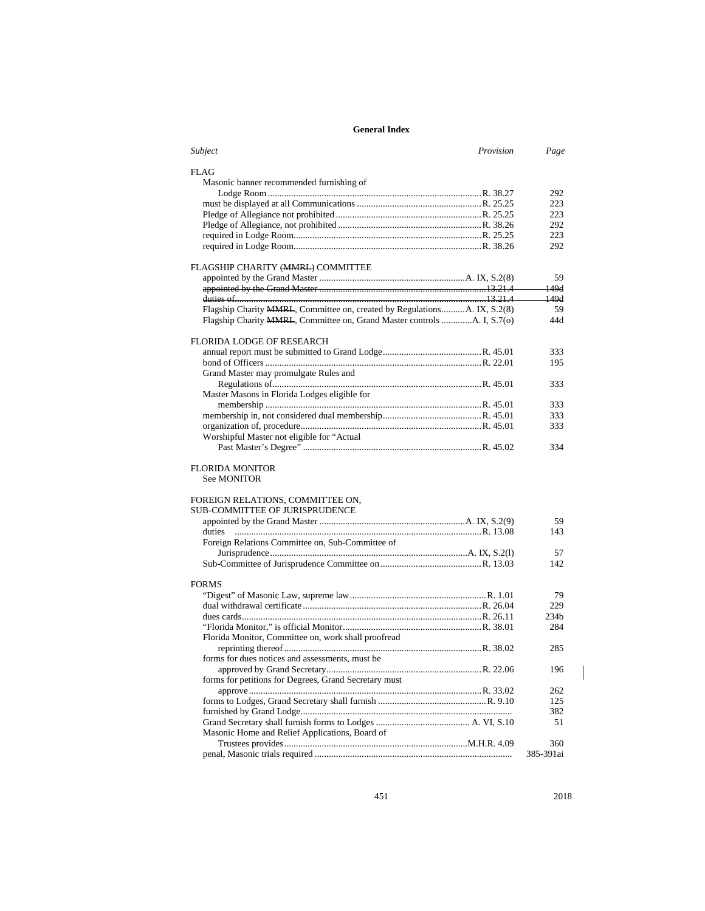| Provision<br>Subject                                                     | Page             |
|--------------------------------------------------------------------------|------------------|
| <b>FLAG</b>                                                              |                  |
| Masonic banner recommended furnishing of                                 |                  |
|                                                                          | 292              |
|                                                                          | 223              |
|                                                                          | 223              |
|                                                                          | 292              |
|                                                                          | 223              |
|                                                                          | 292              |
| FLAGSHIP CHARITY (MMRL) COMMITTEE                                        |                  |
|                                                                          | 59               |
|                                                                          | 149d             |
|                                                                          | $-149d$          |
| Flagship Charity MMRL, Committee on, created by RegulationsA. IX, S.2(8) | 59               |
| Flagship Charity MMRL, Committee on, Grand Master controls A. I, S.7(0)  | 44d              |
|                                                                          |                  |
| <b>FLORIDA LODGE OF RESEARCH</b>                                         |                  |
|                                                                          | 333              |
|                                                                          | 195              |
| Grand Master may promulgate Rules and                                    |                  |
|                                                                          | 333              |
| Master Masons in Florida Lodges eligible for                             |                  |
|                                                                          | 333              |
|                                                                          | 333              |
|                                                                          | 333              |
| Worshipful Master not eligible for "Actual                               |                  |
|                                                                          | 334              |
| <b>FLORIDA MONITOR</b>                                                   |                  |
| <b>See MONITOR</b>                                                       |                  |
| FOREIGN RELATIONS, COMMITTEE ON,                                         |                  |
| SUB-COMMITTEE OF JURISPRUDENCE                                           |                  |
|                                                                          | 59               |
|                                                                          | 143              |
| Foreign Relations Committee on, Sub-Committee of                         |                  |
|                                                                          | 57               |
|                                                                          | 142              |
|                                                                          |                  |
| <b>FORMS</b>                                                             |                  |
|                                                                          | 79               |
|                                                                          | 229              |
|                                                                          | 234 <sub>b</sub> |
|                                                                          | 284              |
| Florida Monitor, Committee on, work shall proofread                      |                  |
|                                                                          | 285              |
| forms for dues notices and assessments, must be                          |                  |
|                                                                          | 196              |
| forms for petitions for Degrees, Grand Secretary must                    |                  |
|                                                                          | 262              |
|                                                                          | 125              |
|                                                                          | 382              |
|                                                                          | 51               |
| Masonic Home and Relief Applications, Board of                           |                  |
|                                                                          | 360              |
|                                                                          | 385-391ai        |

451 2018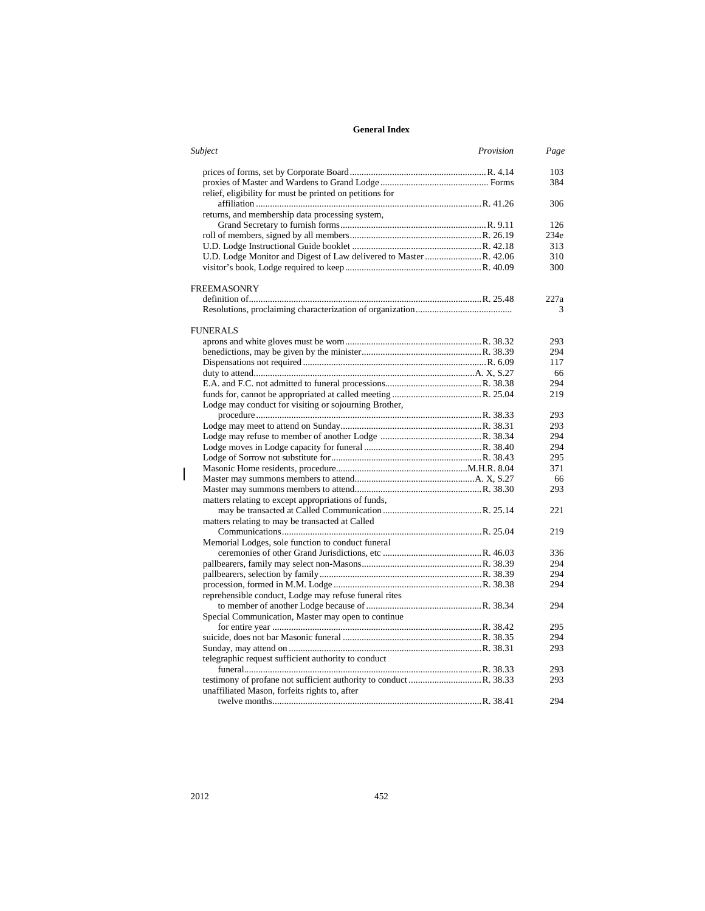| Subject                                                  | Provision | Page |
|----------------------------------------------------------|-----------|------|
|                                                          |           | 103  |
|                                                          |           | 384  |
| relief, eligibility for must be printed on petitions for |           |      |
|                                                          |           | 306  |
| returns, and membership data processing system,          |           |      |
|                                                          |           | 126  |
|                                                          |           | 234e |
|                                                          |           | 313  |
|                                                          |           | 310  |
|                                                          |           | 300  |
| <b>FREEMASONRY</b>                                       |           |      |
|                                                          |           | 227a |
|                                                          |           | 3    |
| <b>FUNERALS</b>                                          |           |      |
|                                                          |           | 293  |
|                                                          |           | 294  |
|                                                          |           | 117  |
|                                                          |           | 66   |
|                                                          |           | 294  |
|                                                          |           | 219  |
| Lodge may conduct for visiting or sojourning Brother,    |           |      |
|                                                          |           | 293  |
|                                                          |           | 293  |
|                                                          |           | 294  |
|                                                          |           | 294  |
|                                                          |           | 295  |
|                                                          |           | 371  |
|                                                          |           | 66   |
|                                                          |           | 293  |
| matters relating to except appropriations of funds,      |           |      |
|                                                          |           | 221  |
| matters relating to may be transacted at Called          |           |      |
|                                                          |           | 219  |
| Memorial Lodges, sole function to conduct funeral        |           |      |
|                                                          |           | 336  |
|                                                          |           | 294  |
|                                                          |           | 294  |
|                                                          |           | 294  |
| reprehensible conduct, Lodge may refuse funeral rites    |           |      |
|                                                          |           | 294  |
| Special Communication, Master may open to continue       |           |      |
|                                                          |           | 295  |
|                                                          |           | 294  |
|                                                          |           | 293  |
| telegraphic request sufficient authority to conduct      |           |      |
|                                                          |           | 293  |
|                                                          |           | 293  |
| unaffiliated Mason, forfeits rights to, after            |           |      |
|                                                          |           | 294  |

 $\begin{array}{c} \hline \end{array}$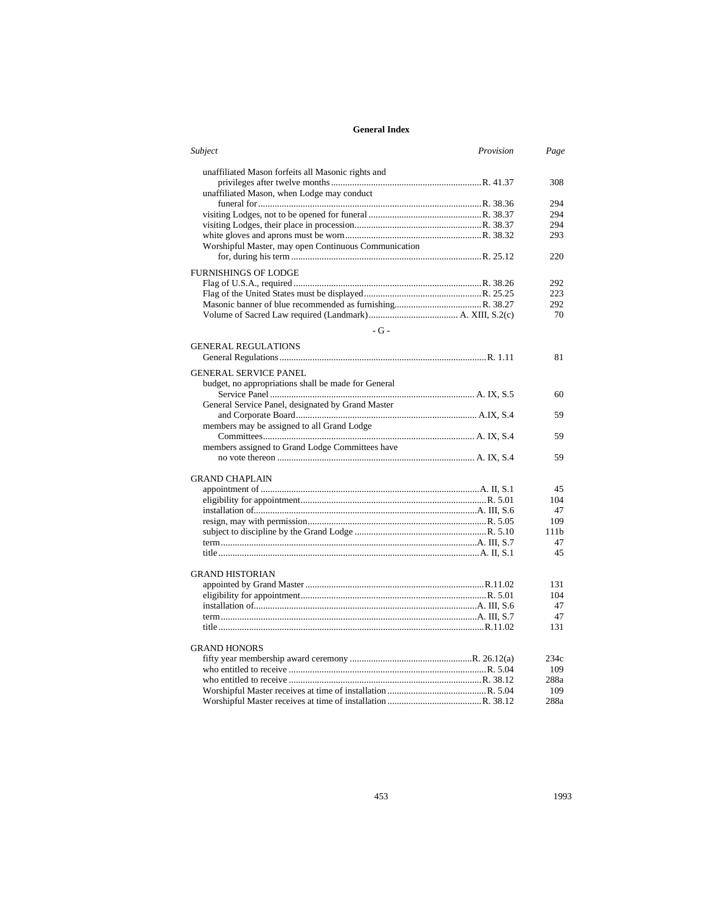| Subject<br>Provision                                                                                                                                                                                                                                                                                                             | Page |
|----------------------------------------------------------------------------------------------------------------------------------------------------------------------------------------------------------------------------------------------------------------------------------------------------------------------------------|------|
| unaffiliated Mason forfeits all Masonic rights and                                                                                                                                                                                                                                                                               |      |
|                                                                                                                                                                                                                                                                                                                                  | 308  |
| unaffiliated Mason, when Lodge may conduct                                                                                                                                                                                                                                                                                       |      |
|                                                                                                                                                                                                                                                                                                                                  | 294  |
|                                                                                                                                                                                                                                                                                                                                  | 294  |
|                                                                                                                                                                                                                                                                                                                                  | 294  |
|                                                                                                                                                                                                                                                                                                                                  | 293  |
| Worshipful Master, may open Continuous Communication                                                                                                                                                                                                                                                                             |      |
|                                                                                                                                                                                                                                                                                                                                  | 220  |
| <b>FURNISHINGS OF LODGE</b>                                                                                                                                                                                                                                                                                                      |      |
|                                                                                                                                                                                                                                                                                                                                  | 292  |
|                                                                                                                                                                                                                                                                                                                                  | 223  |
|                                                                                                                                                                                                                                                                                                                                  | 292  |
|                                                                                                                                                                                                                                                                                                                                  | 70   |
| $-G -$                                                                                                                                                                                                                                                                                                                           |      |
|                                                                                                                                                                                                                                                                                                                                  |      |
| <b>GENERAL REGULATIONS</b>                                                                                                                                                                                                                                                                                                       |      |
|                                                                                                                                                                                                                                                                                                                                  | 81   |
| <b>GENERAL SERVICE PANEL</b>                                                                                                                                                                                                                                                                                                     |      |
| budget, no appropriations shall be made for General                                                                                                                                                                                                                                                                              |      |
|                                                                                                                                                                                                                                                                                                                                  | 60   |
| General Service Panel, designated by Grand Master                                                                                                                                                                                                                                                                                |      |
|                                                                                                                                                                                                                                                                                                                                  | 59   |
| members may be assigned to all Grand Lodge                                                                                                                                                                                                                                                                                       |      |
|                                                                                                                                                                                                                                                                                                                                  | 59   |
| members assigned to Grand Lodge Committees have                                                                                                                                                                                                                                                                                  |      |
|                                                                                                                                                                                                                                                                                                                                  | 59   |
|                                                                                                                                                                                                                                                                                                                                  |      |
| <b>GRAND CHAPLAIN</b>                                                                                                                                                                                                                                                                                                            |      |
|                                                                                                                                                                                                                                                                                                                                  | 45   |
|                                                                                                                                                                                                                                                                                                                                  | 104  |
|                                                                                                                                                                                                                                                                                                                                  | 47   |
|                                                                                                                                                                                                                                                                                                                                  | 109  |
|                                                                                                                                                                                                                                                                                                                                  | 111b |
|                                                                                                                                                                                                                                                                                                                                  | 47   |
|                                                                                                                                                                                                                                                                                                                                  | 45   |
|                                                                                                                                                                                                                                                                                                                                  |      |
| <b>GRAND HISTORIAN</b>                                                                                                                                                                                                                                                                                                           |      |
|                                                                                                                                                                                                                                                                                                                                  | 131  |
|                                                                                                                                                                                                                                                                                                                                  | 104  |
|                                                                                                                                                                                                                                                                                                                                  | 47   |
|                                                                                                                                                                                                                                                                                                                                  | 47   |
|                                                                                                                                                                                                                                                                                                                                  | 131  |
| <b>GRAND HONORS</b>                                                                                                                                                                                                                                                                                                              |      |
|                                                                                                                                                                                                                                                                                                                                  | 234c |
|                                                                                                                                                                                                                                                                                                                                  | 109  |
| who entitled to receive $\ldots$ $\ldots$ $\ldots$ $\ldots$ $\ldots$ $\ldots$ $\ldots$ $\ldots$ $\ldots$ $\ldots$ $\ldots$ $\ldots$ $\ldots$ $\ldots$ $\ldots$ $\ldots$ $\ldots$ $\ldots$ $\ldots$ $\ldots$ $\ldots$ $\ldots$ $\ldots$ $\ldots$ $\ldots$ $\ldots$ $\ldots$ $\ldots$ $\ldots$ $\ldots$ $\ldots$ $\ldots$ $\ldots$ | 288a |
|                                                                                                                                                                                                                                                                                                                                  | 109  |
|                                                                                                                                                                                                                                                                                                                                  | 288a |

453 1993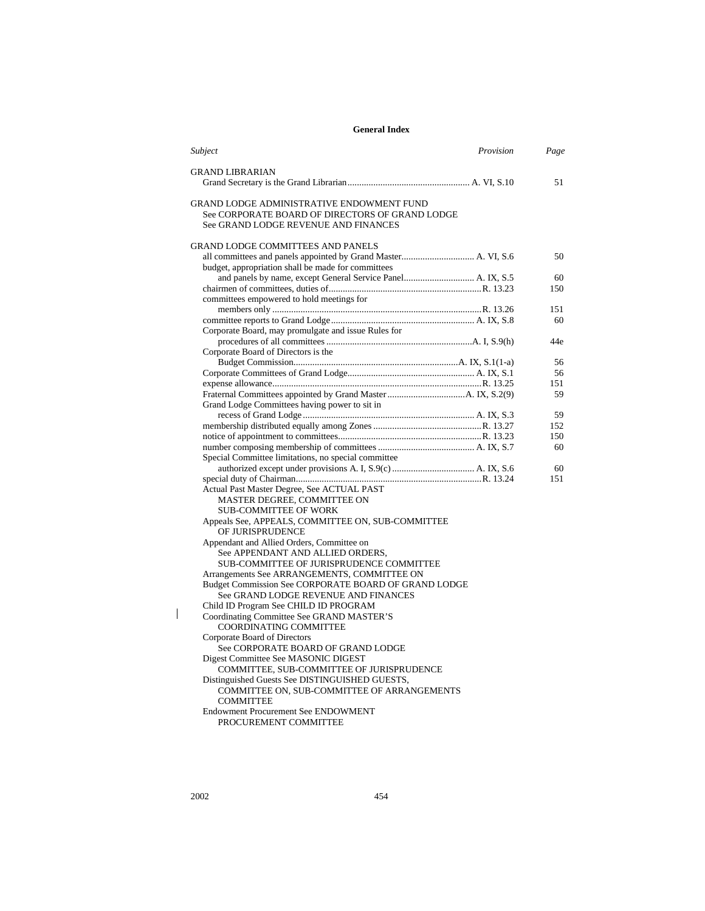| Subject<br>Provision                                                                                | Page |
|-----------------------------------------------------------------------------------------------------|------|
| <b>GRAND LIBRARIAN</b>                                                                              |      |
|                                                                                                     | 51   |
| <b>GRAND LODGE ADMINISTRATIVE ENDOWMENT FUND</b>                                                    |      |
| See CORPORATE BOARD OF DIRECTORS OF GRAND LODGE                                                     |      |
| See GRAND LODGE REVENUE AND FINANCES                                                                |      |
|                                                                                                     |      |
| <b>GRAND LODGE COMMITTEES AND PANELS</b>                                                            |      |
|                                                                                                     | 50   |
| budget, appropriation shall be made for committees                                                  |      |
|                                                                                                     | 60   |
|                                                                                                     | 150  |
| committees empowered to hold meetings for                                                           |      |
|                                                                                                     | 151  |
|                                                                                                     | 60   |
| Corporate Board, may promulgate and issue Rules for                                                 |      |
|                                                                                                     | 44e  |
| Corporate Board of Directors is the                                                                 | 56   |
|                                                                                                     | 56   |
|                                                                                                     | 151  |
|                                                                                                     | 59   |
| Grand Lodge Committees having power to sit in                                                       |      |
|                                                                                                     | 59   |
|                                                                                                     | 152  |
|                                                                                                     | 150  |
|                                                                                                     | 60   |
| Special Committee limitations, no special committee                                                 |      |
|                                                                                                     | 60   |
|                                                                                                     | 151  |
| Actual Past Master Degree, See ACTUAL PAST                                                          |      |
| MASTER DEGREE, COMMITTEE ON                                                                         |      |
| <b>SUB-COMMITTEE OF WORK</b>                                                                        |      |
| Appeals See, APPEALS, COMMITTEE ON, SUB-COMMITTEE                                                   |      |
| OF JURISPRUDENCE                                                                                    |      |
| Appendant and Allied Orders, Committee on                                                           |      |
| See APPENDANT AND ALLIED ORDERS,                                                                    |      |
| SUB-COMMITTEE OF JURISPRUDENCE COMMITTEE                                                            |      |
| Arrangements See ARRANGEMENTS, COMMITTEE ON<br>Budget Commission See CORPORATE BOARD OF GRAND LODGE |      |
| See GRAND LODGE REVENUE AND FINANCES                                                                |      |
| Child ID Program See CHILD ID PROGRAM                                                               |      |
| Coordinating Committee See GRAND MASTER'S                                                           |      |
| COORDINATING COMMITTEE                                                                              |      |
| Corporate Board of Directors                                                                        |      |
| See CORPORATE BOARD OF GRAND LODGE                                                                  |      |
| Digest Committee See MASONIC DIGEST                                                                 |      |
| COMMITTEE, SUB-COMMITTEE OF JURISPRUDENCE                                                           |      |
| Distinguished Guests See DISTINGUISHED GUESTS,                                                      |      |
| COMMITTEE ON, SUB-COMMITTEE OF ARRANGEMENTS                                                         |      |
| <b>COMMITTEE</b>                                                                                    |      |
| <b>Endowment Procurement See ENDOWMENT</b>                                                          |      |
| PROCUREMENT COMMITTEE                                                                               |      |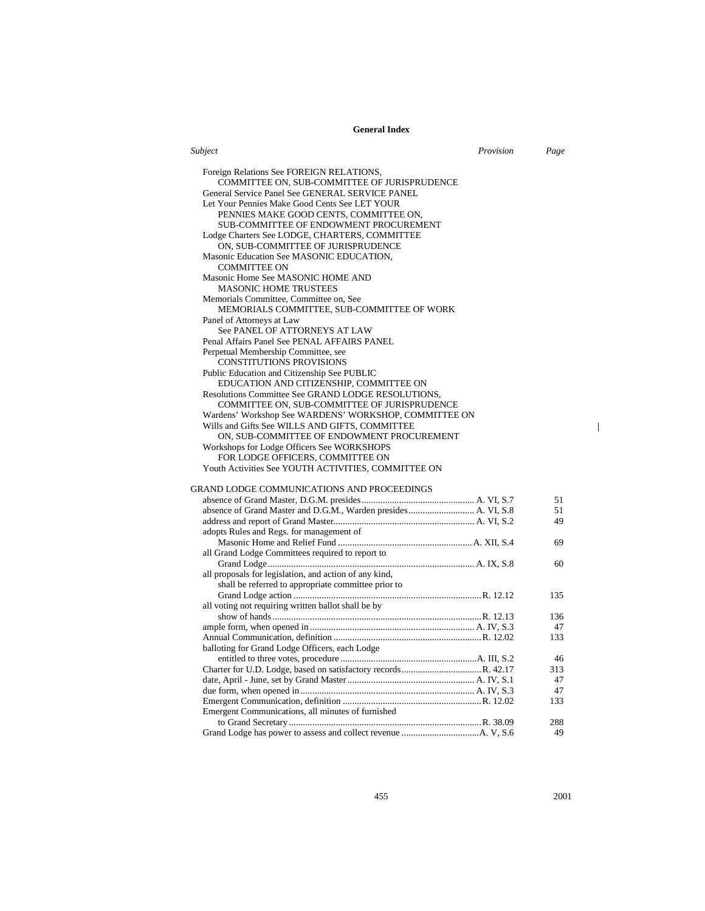| Subject                                                                                                       | Provision | Page |
|---------------------------------------------------------------------------------------------------------------|-----------|------|
| Foreign Relations See FOREIGN RELATIONS,<br>COMMITTEE ON, SUB-COMMITTEE OF JURISPRUDENCE                      |           |      |
| General Service Panel See GENERAL SERVICE PANEL                                                               |           |      |
| Let Your Pennies Make Good Cents See LET YOUR<br>PENNIES MAKE GOOD CENTS, COMMITTEE ON,                       |           |      |
| SUB-COMMITTEE OF ENDOWMENT PROCUREMENT                                                                        |           |      |
| Lodge Charters See LODGE, CHARTERS, COMMITTEE<br>ON, SUB-COMMITTEE OF JURISPRUDENCE                           |           |      |
| Masonic Education See MASONIC EDUCATION,<br><b>COMMITTEE ON</b>                                               |           |      |
| Masonic Home See MASONIC HOME AND<br><b>MASONIC HOME TRUSTEES</b>                                             |           |      |
| Memorials Committee, Committee on, See<br>MEMORIALS COMMITTEE, SUB-COMMITTEE OF WORK                          |           |      |
| Panel of Attorneys at Law<br>See PANEL OF ATTORNEYS AT LAW                                                    |           |      |
| Penal Affairs Panel See PENAL AFFAIRS PANEL                                                                   |           |      |
| Perpetual Membership Committee, see<br><b>CONSTITUTIONS PROVISIONS</b>                                        |           |      |
| Public Education and Citizenship See PUBLIC<br>EDUCATION AND CITIZENSHIP, COMMITTEE ON                        |           |      |
| Resolutions Committee See GRAND LODGE RESOLUTIONS,<br>COMMITTEE ON, SUB-COMMITTEE OF JURISPRUDENCE            |           |      |
| Wardens' Workshop See WARDENS' WORKSHOP, COMMITTEE ON                                                         |           |      |
| Wills and Gifts See WILLS AND GIFTS, COMMITTEE<br>ON, SUB-COMMITTEE OF ENDOWMENT PROCUREMENT                  |           |      |
| Workshops for Lodge Officers See WORKSHOPS<br>FOR LODGE OFFICERS, COMMITTEE ON                                |           |      |
| Youth Activities See YOUTH ACTIVITIES, COMMITTEE ON                                                           |           |      |
| GRAND LODGE COMMUNICATIONS AND PROCEEDINGS                                                                    |           |      |
|                                                                                                               |           | 51   |
| absence of Grand Master and D.G.M., Warden presides A. VI, S.8                                                |           | 51   |
|                                                                                                               |           | 49   |
| adopts Rules and Regs. for management of                                                                      |           |      |
|                                                                                                               |           | 69   |
| all Grand Lodge Committees required to report to                                                              |           |      |
|                                                                                                               |           | 60   |
| all proposals for legislation, and action of any kind,<br>shall be referred to appropriate committee prior to |           |      |
| all voting not requiring written ballot shall be by                                                           |           | 135  |
|                                                                                                               |           | 136  |
|                                                                                                               |           | 47   |
|                                                                                                               |           | 133  |
| balloting for Grand Lodge Officers, each Lodge                                                                |           | 46   |
|                                                                                                               |           | 313  |
|                                                                                                               |           | 47   |
|                                                                                                               |           | 47   |
| Emergent Communications, all minutes of furnished                                                             |           | 133  |
|                                                                                                               |           | 288  |
|                                                                                                               |           | 49   |

455 2001

 $\mathbf{l}$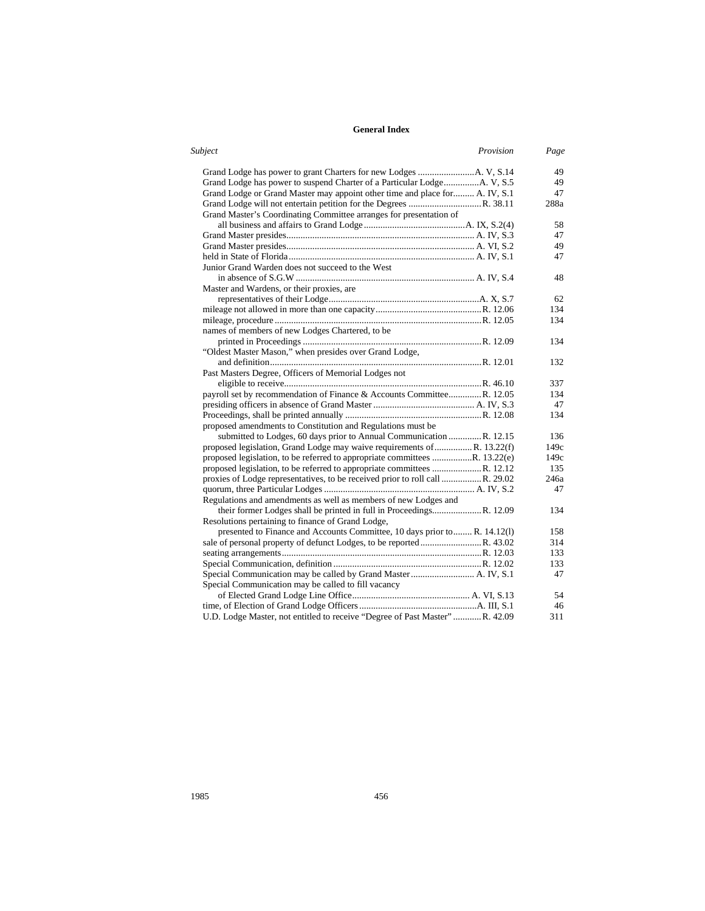| <b>Subject</b><br>Provision                                                  | Page |
|------------------------------------------------------------------------------|------|
|                                                                              | 49   |
|                                                                              | 49   |
| Grand Lodge or Grand Master may appoint other time and place for A. IV, S.1  | 47   |
|                                                                              | 288a |
| Grand Master's Coordinating Committee arranges for presentation of           |      |
|                                                                              | 58   |
|                                                                              | 47   |
|                                                                              | 49   |
|                                                                              | 47   |
| Junior Grand Warden does not succeed to the West                             |      |
|                                                                              | 48   |
| Master and Wardens, or their proxies, are                                    |      |
|                                                                              | 62   |
|                                                                              | 134  |
|                                                                              | 134  |
| names of members of new Lodges Chartered, to be                              |      |
|                                                                              | 134  |
| "Oldest Master Mason," when presides over Grand Lodge,                       |      |
|                                                                              | 132  |
| Past Masters Degree, Officers of Memorial Lodges not                         |      |
|                                                                              | 337  |
| payroll set by recommendation of Finance & Accounts CommitteeR. 12.05        | 134  |
|                                                                              | 47   |
|                                                                              | 134  |
| proposed amendments to Constitution and Regulations must be                  |      |
| submitted to Lodges, 60 days prior to Annual Communication R. 12.15          | 136  |
| proposed legislation, Grand Lodge may waive requirements of  R. 13.22(f)     | 149c |
| proposed legislation, to be referred to appropriate committees R. 13.22(e)   | 149c |
| proposed legislation, to be referred to appropriate committees R. 12.12      | 135  |
| proxies of Lodge representatives, to be received prior to roll call R. 29.02 | 246a |
|                                                                              | 47   |
| Regulations and amendments as well as members of new Lodges and              |      |
|                                                                              | 134  |
| Resolutions pertaining to finance of Grand Lodge,                            |      |
| presented to Finance and Accounts Committee, 10 days prior to R. 14.12(l)    | 158  |
|                                                                              | 314  |
|                                                                              | 133  |
|                                                                              | 133  |
|                                                                              | 47   |
| Special Communication may be called to fill vacancy                          |      |
|                                                                              | 54   |
|                                                                              | 46   |
| U.D. Lodge Master, not entitled to receive "Degree of Past Master" R. 42.09  | 311  |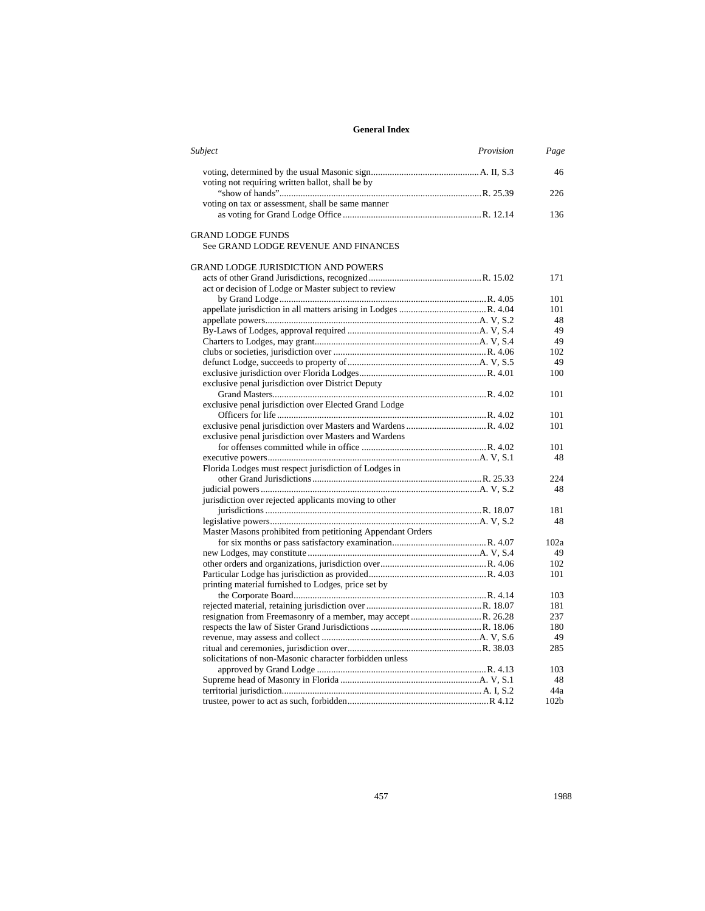| Subject<br>Provision                                       | Page             |
|------------------------------------------------------------|------------------|
|                                                            | 46               |
| voting not requiring written ballot, shall be by           |                  |
|                                                            | 226              |
| voting on tax or assessment, shall be same manner          |                  |
|                                                            | 136              |
| <b>GRAND LODGE FUNDS</b>                                   |                  |
| See GRAND LODGE REVENUE AND FINANCES                       |                  |
| GRAND LODGE JURISDICTION AND POWERS                        |                  |
|                                                            | 171              |
| act or decision of Lodge or Master subject to review       |                  |
|                                                            | 101              |
|                                                            | 101              |
|                                                            | 48               |
|                                                            | 49               |
|                                                            | 49               |
|                                                            | 102              |
|                                                            | 49               |
|                                                            | 100              |
| exclusive penal jurisdiction over District Deputy          |                  |
|                                                            | 101              |
| exclusive penal jurisdiction over Elected Grand Lodge      |                  |
|                                                            | 101              |
|                                                            | 101              |
| exclusive penal jurisdiction over Masters and Wardens      |                  |
|                                                            | 101              |
|                                                            | 48               |
| Florida Lodges must respect jurisdiction of Lodges in      |                  |
|                                                            | 224              |
|                                                            | 48               |
| jurisdiction over rejected applicants moving to other      |                  |
|                                                            | 181              |
|                                                            | 48               |
| Master Masons prohibited from petitioning Appendant Orders |                  |
|                                                            | 102a             |
|                                                            | 49               |
|                                                            | 102              |
|                                                            | 101              |
| printing material furnished to Lodges, price set by        |                  |
|                                                            | 103              |
|                                                            | 181              |
|                                                            | 237              |
|                                                            | 180              |
|                                                            | 49               |
|                                                            | 285              |
| solicitations of non-Masonic character forbidden unless    |                  |
|                                                            | 103              |
|                                                            | 48               |
|                                                            | 44a              |
|                                                            | 102 <sub>b</sub> |
|                                                            |                  |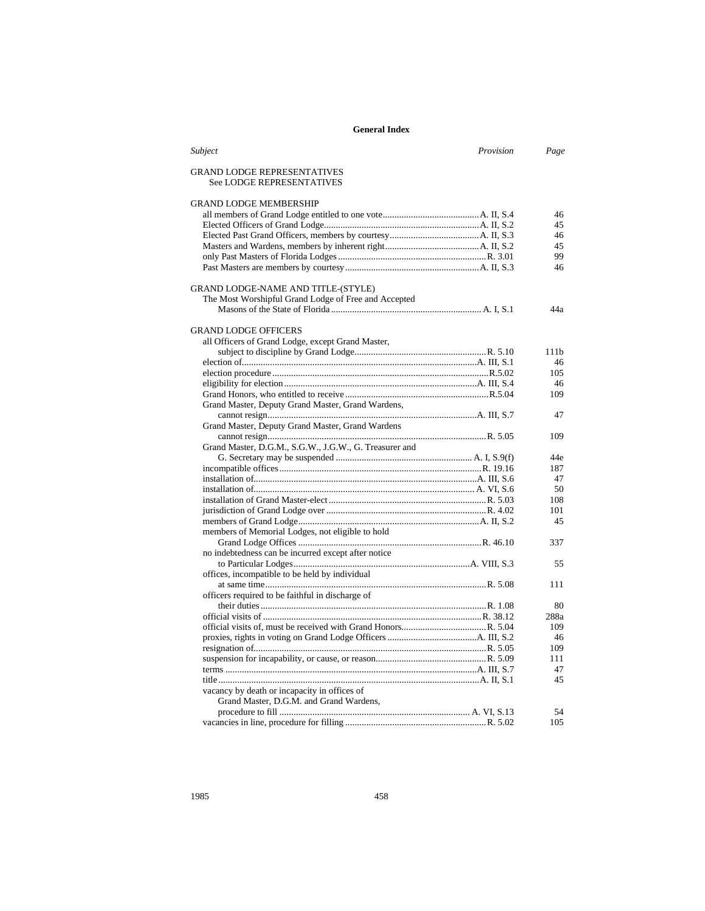| Subject                                                         | Provision | Page |
|-----------------------------------------------------------------|-----------|------|
| <b>GRAND LODGE REPRESENTATIVES</b><br>See LODGE REPRESENTATIVES |           |      |
| <b>GRAND LODGE MEMBERSHIP</b>                                   |           |      |
|                                                                 |           | 46   |
|                                                                 |           | 45   |
|                                                                 |           | 46   |
|                                                                 |           | 45   |
|                                                                 |           | 99   |
|                                                                 |           | 46   |
| GRAND LODGE-NAME AND TITLE-(STYLE)                              |           |      |
| The Most Worshipful Grand Lodge of Free and Accepted            |           |      |
|                                                                 |           | 44a  |
| <b>GRAND LODGE OFFICERS</b>                                     |           |      |
| all Officers of Grand Lodge, except Grand Master,               |           |      |
|                                                                 |           | 111b |
|                                                                 |           | 46   |
|                                                                 |           | 105  |
|                                                                 |           | 46   |
|                                                                 |           | 109  |
| Grand Master, Deputy Grand Master, Grand Wardens,               |           |      |
|                                                                 |           | 47   |
| Grand Master, Deputy Grand Master, Grand Wardens                |           |      |
|                                                                 |           | 109  |
| Grand Master, D.G.M., S.G.W., J.G.W., G. Treasurer and          |           |      |
|                                                                 |           | 44e  |
|                                                                 |           | 187  |
|                                                                 |           | 47   |
|                                                                 |           | 50   |
|                                                                 |           | 108  |
|                                                                 |           | 101  |
|                                                                 |           | 45   |
| members of Memorial Lodges, not eligible to hold                |           |      |
|                                                                 |           | 337  |
| no indebtedness can be incurred except after notice             |           |      |
|                                                                 |           | 55   |
| offices, incompatible to be held by individual                  |           |      |
|                                                                 |           | 111  |
| officers required to be faithful in discharge of                |           |      |
|                                                                 |           | 80   |
|                                                                 |           | 288a |
|                                                                 |           | 109  |
|                                                                 |           | 46   |
|                                                                 |           | 109  |
|                                                                 |           | 111  |
|                                                                 |           | 47   |
|                                                                 |           | 45   |
| vacancy by death or incapacity in offices of                    |           |      |
| Grand Master, D.G.M. and Grand Wardens,                         |           |      |
|                                                                 |           | 54   |
|                                                                 |           | 105  |
|                                                                 |           |      |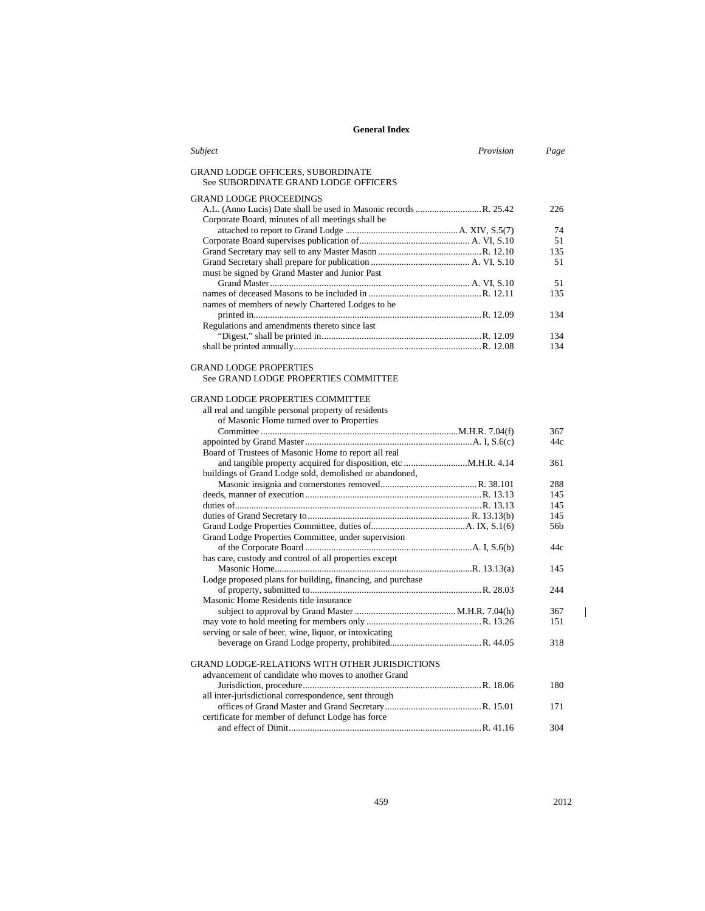| Subject                                                                   | Provision | Page |
|---------------------------------------------------------------------------|-----------|------|
| GRAND LODGE OFFICERS, SUBORDINATE<br>See SUBORDINATE GRAND LODGE OFFICERS |           |      |
| <b>GRAND LODGE PROCEEDINGS</b>                                            |           |      |
| Corporate Board, minutes of all meetings shall be                         |           | 226  |
|                                                                           |           | 74   |
|                                                                           |           | 51   |
|                                                                           |           | 135  |
|                                                                           |           | 51   |
| must be signed by Grand Master and Junior Past                            |           |      |
|                                                                           |           | 51   |
|                                                                           |           | 135  |
| names of members of newly Chartered Lodges to be                          |           |      |
|                                                                           |           | 134  |
| Regulations and amendments thereto since last                             |           |      |
|                                                                           |           | 134  |
|                                                                           |           | 134  |
| <b>GRAND LODGE PROPERTIES</b>                                             |           |      |
| See GRAND LODGE PROPERTIES COMMITTEE                                      |           |      |
| <b>GRAND LODGE PROPERTIES COMMITTEE</b>                                   |           |      |
| all real and tangible personal property of residents                      |           |      |
| of Masonic Home turned over to Properties                                 |           |      |
|                                                                           |           | 367  |
|                                                                           |           | 44c  |
| Board of Trustees of Masonic Home to report all real                      |           |      |
|                                                                           |           | 361  |
| buildings of Grand Lodge sold, demolished or abandoned,                   |           |      |
|                                                                           |           | 288  |
|                                                                           |           | 145  |
|                                                                           |           | 145  |
|                                                                           |           | 145  |
|                                                                           |           | 56b  |
| Grand Lodge Properties Committee, under supervision                       |           |      |
|                                                                           |           | 44c  |
| has care, custody and control of all properties except                    |           |      |
|                                                                           |           | 145  |
| Lodge proposed plans for building, financing, and purchase                |           |      |
|                                                                           |           | 244  |
| Masonic Home Residents title insurance                                    |           |      |
|                                                                           |           | 367  |
|                                                                           |           | 151  |
| serving or sale of beer, wine, liquor, or intoxicating                    |           |      |
|                                                                           |           | 318  |
| GRAND LODGE-RELATIONS WITH OTHER JURISDICTIONS                            |           |      |
| advancement of candidate who moves to another Grand                       |           |      |
|                                                                           |           | 180  |
| all inter-jurisdictional correspondence, sent through                     |           |      |
|                                                                           |           | 171  |
| certificate for member of defunct Lodge has force                         |           |      |
|                                                                           |           | 304  |

459 2012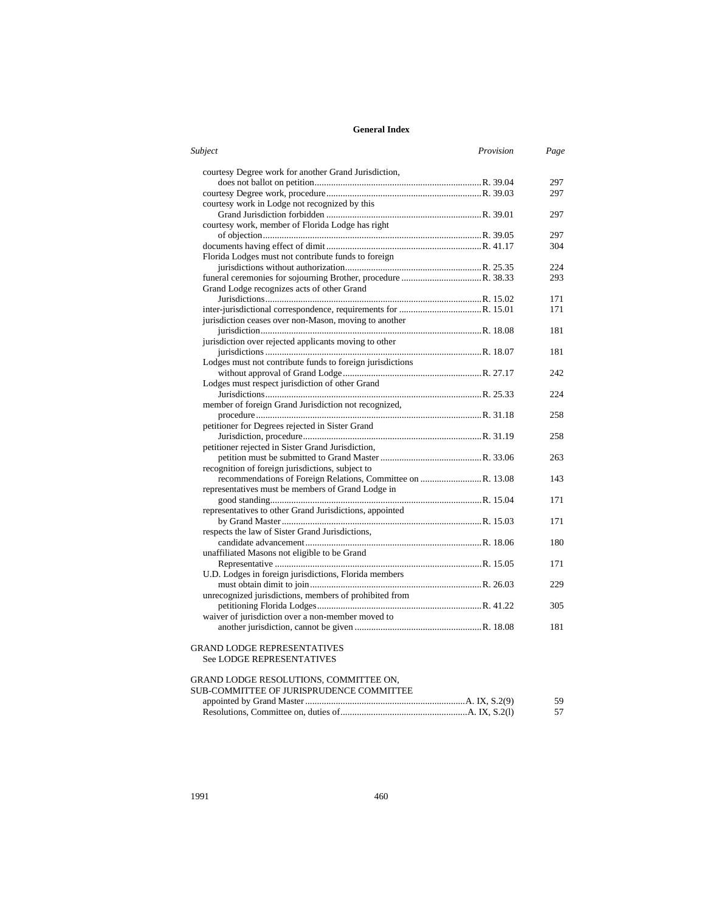| Subject                                                   | Provision | Page |
|-----------------------------------------------------------|-----------|------|
| courtesy Degree work for another Grand Jurisdiction,      |           |      |
|                                                           |           | 297  |
|                                                           |           | 297  |
| courtesy work in Lodge not recognized by this             |           |      |
|                                                           |           | 297  |
| courtesy work, member of Florida Lodge has right          |           |      |
|                                                           |           | 297  |
|                                                           |           | 304  |
| Florida Lodges must not contribute funds to foreign       |           |      |
|                                                           |           | 224  |
|                                                           |           | 293  |
| Grand Lodge recognizes acts of other Grand                |           |      |
|                                                           |           | 171  |
|                                                           |           | 171  |
| jurisdiction ceases over non-Mason, moving to another     |           |      |
|                                                           |           | 181  |
| jurisdiction over rejected applicants moving to other     |           |      |
|                                                           |           | 181  |
| Lodges must not contribute funds to foreign jurisdictions |           |      |
|                                                           |           | 242  |
| Lodges must respect jurisdiction of other Grand           |           |      |
|                                                           |           | 224  |
| member of foreign Grand Jurisdiction not recognized,      |           |      |
|                                                           |           | 258  |
| petitioner for Degrees rejected in Sister Grand           |           |      |
|                                                           |           | 258  |
| petitioner rejected in Sister Grand Jurisdiction,         |           |      |
|                                                           |           | 263  |
| recognition of foreign jurisdictions, subject to          |           |      |
|                                                           |           | 143  |
| representatives must be members of Grand Lodge in         |           |      |
|                                                           |           | 171  |
| representatives to other Grand Jurisdictions, appointed   |           |      |
|                                                           |           | 171  |
| respects the law of Sister Grand Jurisdictions,           |           |      |
|                                                           |           | 180  |
| unaffiliated Masons not eligible to be Grand              |           |      |
|                                                           |           | 171  |
| U.D. Lodges in foreign jurisdictions, Florida members     |           |      |
|                                                           |           | 229  |
| unrecognized jurisdictions, members of prohibited from    |           |      |
|                                                           |           | 305  |
| waiver of jurisdiction over a non-member moved to         |           |      |
|                                                           |           | 181  |
| GRAND LODGE REPRESENTATIVES                               |           |      |
| See LODGE REPRESENTATIVES                                 |           |      |
|                                                           |           |      |
| GRAND LODGE RESOLUTIONS, COMMITTEE ON,                    |           |      |
| SUB-COMMITTEE OF JURISPRUDENCE COMMITTEE                  |           |      |
|                                                           |           |      |

| 59 |
|----|
|    |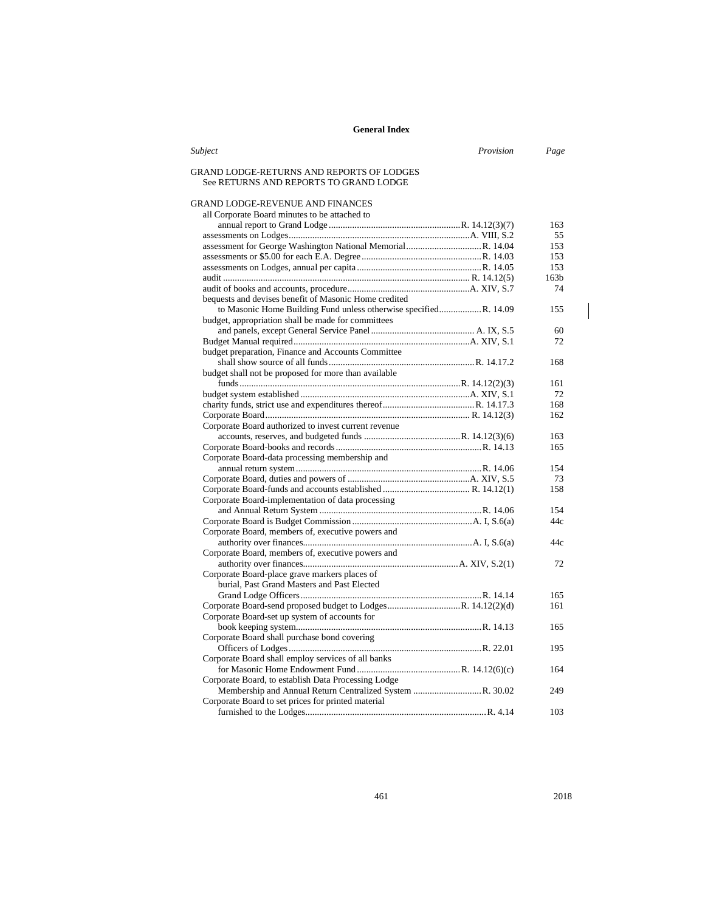| Subject                                                                             | Provision | Page             |
|-------------------------------------------------------------------------------------|-----------|------------------|
| GRAND LODGE-RETURNS AND REPORTS OF LODGES<br>See RETURNS AND REPORTS TO GRAND LODGE |           |                  |
| GRAND LODGE-REVENUE AND FINANCES                                                    |           |                  |
| all Corporate Board minutes to be attached to                                       |           |                  |
|                                                                                     |           | 163              |
|                                                                                     |           | 55               |
|                                                                                     |           | 153              |
|                                                                                     |           | 153              |
|                                                                                     |           | 153              |
|                                                                                     |           | 163 <sub>b</sub> |
|                                                                                     |           | 74               |
| bequests and devises benefit of Masonic Home credited                               |           |                  |
| to Masonic Home Building Fund unless otherwise specified R. 14.09                   |           | 155              |
| budget, appropriation shall be made for committees                                  |           |                  |
|                                                                                     |           | 60               |
|                                                                                     |           | 72               |
| budget preparation, Finance and Accounts Committee                                  |           |                  |
|                                                                                     |           | 168              |
| budget shall not be proposed for more than available                                |           |                  |
|                                                                                     |           | 161              |
|                                                                                     |           | 72               |
|                                                                                     |           | 168              |
|                                                                                     |           | 162              |
| Corporate Board authorized to invest current revenue                                |           |                  |
|                                                                                     |           | 163              |
|                                                                                     |           | 165              |
| Corporate Board-data processing membership and                                      |           |                  |
|                                                                                     |           | 154              |
|                                                                                     |           | 73               |
|                                                                                     |           | 158              |
| Corporate Board-implementation of data processing                                   |           |                  |
|                                                                                     |           | 154              |
|                                                                                     |           | 44c              |
| Corporate Board, members of, executive powers and                                   |           |                  |
|                                                                                     |           | 44c              |
| Corporate Board, members of, executive powers and                                   |           |                  |
|                                                                                     |           | 72               |
| Corporate Board-place grave markers places of                                       |           |                  |
| burial. Past Grand Masters and Past Elected                                         |           |                  |
|                                                                                     |           | 165              |
| Corporate Board-send proposed budget to LodgesR. 14.12(2)(d)                        |           | 161              |
| Corporate Board-set up system of accounts for                                       |           |                  |
|                                                                                     |           | 165              |
| Corporate Board shall purchase bond covering                                        |           |                  |
|                                                                                     |           | 195              |
| Corporate Board shall employ services of all banks                                  |           |                  |
|                                                                                     |           | 164              |
| Corporate Board, to establish Data Processing Lodge                                 |           |                  |
|                                                                                     |           | 249              |
| Corporate Board to set prices for printed material                                  |           | 103              |
|                                                                                     |           |                  |

461 2018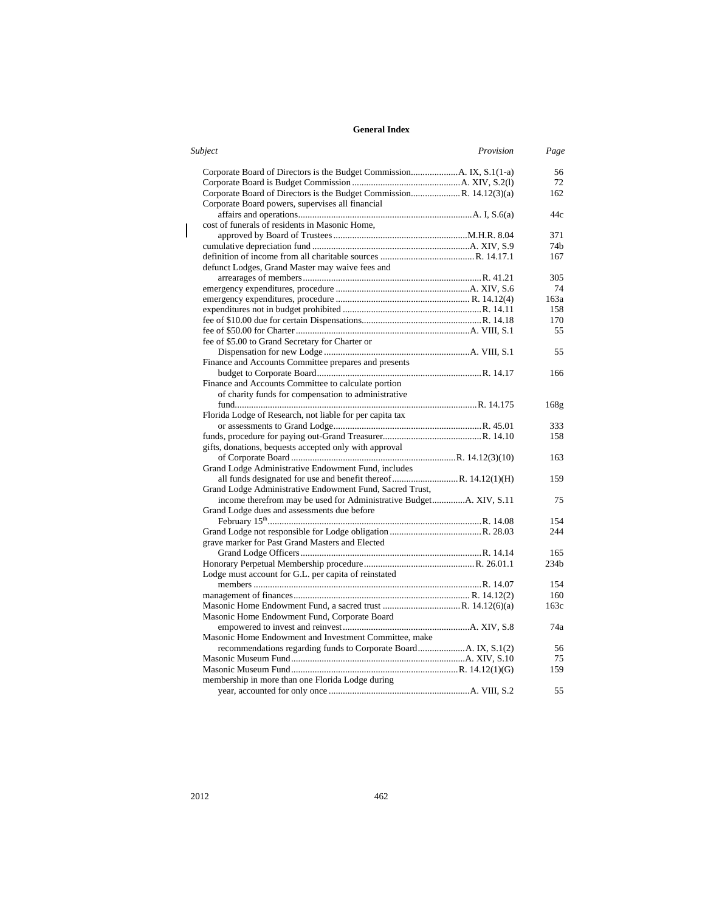| Provision<br>Page | Subject                                                             |
|-------------------|---------------------------------------------------------------------|
| 56                |                                                                     |
| 72                |                                                                     |
| 162               | Corporate Board of Directors is the Budget CommissionR. 14.12(3)(a) |
|                   | Corporate Board powers, supervises all financial                    |
| 44c               |                                                                     |
|                   | cost of funerals of residents in Masonic Home,                      |
| 371               |                                                                     |
| 74b               |                                                                     |
| 167               |                                                                     |
|                   | defunct Lodges, Grand Master may waive fees and                     |
| 305               |                                                                     |
| 74                |                                                                     |
| 163a              |                                                                     |
| 158               |                                                                     |
| 170               |                                                                     |
| 55                |                                                                     |
|                   | fee of \$5.00 to Grand Secretary for Charter or                     |
| 55                |                                                                     |
|                   | Finance and Accounts Committee prepares and presents                |
| 166               |                                                                     |
|                   | Finance and Accounts Committee to calculate portion                 |
|                   | of charity funds for compensation to administrative                 |
| 168g              |                                                                     |
|                   | Florida Lodge of Research, not liable for per capita tax            |
| 333               |                                                                     |
| 158               |                                                                     |
|                   |                                                                     |
| 163               |                                                                     |
|                   | Grand Lodge Administrative Endowment Fund, includes                 |
| 159               |                                                                     |
|                   | Grand Lodge Administrative Endowment Fund, Sacred Trust,            |
| 75                |                                                                     |
|                   | Grand Lodge dues and assessments due before                         |
| 154               |                                                                     |
| 244               |                                                                     |
|                   | grave marker for Past Grand Masters and Elected                     |
| 165               |                                                                     |
| 234b              |                                                                     |
|                   | Lodge must account for G.L. per capita of reinstated                |
| 154               |                                                                     |
| 160               |                                                                     |
| 163c              |                                                                     |
|                   | Masonic Home Endowment Fund, Corporate Board                        |
| 74a               |                                                                     |
|                   | Masonic Home Endowment and Investment Committee, make               |
| 56                |                                                                     |
| 75                |                                                                     |
| 159               |                                                                     |
|                   | membership in more than one Florida Lodge during                    |
| 55                |                                                                     |
|                   | gifts, donations, bequests accepted only with approval              |

 $\begin{array}{c} \rule{0pt}{2ex} \rule{0pt}{2ex} \rule{0pt}{2ex} \rule{0pt}{2ex} \rule{0pt}{2ex} \rule{0pt}{2ex} \rule{0pt}{2ex} \rule{0pt}{2ex} \rule{0pt}{2ex} \rule{0pt}{2ex} \rule{0pt}{2ex} \rule{0pt}{2ex} \rule{0pt}{2ex} \rule{0pt}{2ex} \rule{0pt}{2ex} \rule{0pt}{2ex} \rule{0pt}{2ex} \rule{0pt}{2ex} \rule{0pt}{2ex} \rule{0pt}{2ex} \rule{0pt}{2ex} \rule{0pt}{2ex} \rule{0pt}{2ex} \rule{0pt}{$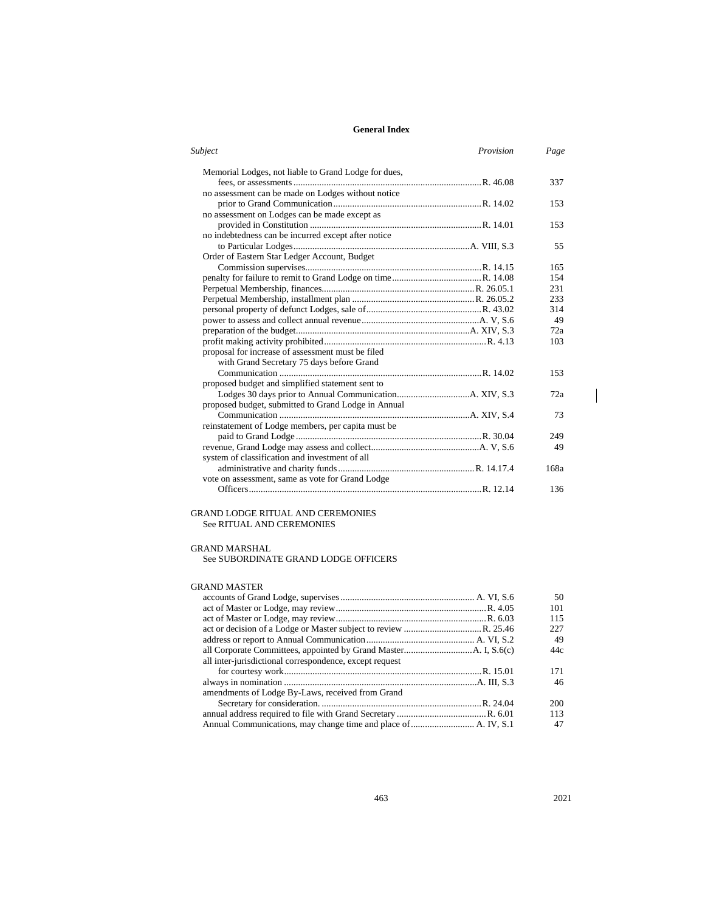| Subject                                              | Provision | Page |
|------------------------------------------------------|-----------|------|
| Memorial Lodges, not liable to Grand Lodge for dues, |           |      |
|                                                      |           | 337  |
| no assessment can be made on Lodges without notice   |           |      |
|                                                      |           | 153  |
| no assessment on Lodges can be made except as        |           |      |
|                                                      |           | 153  |
| no indebtedness can be incurred except after notice  |           |      |
|                                                      |           | 55   |
| Order of Eastern Star Ledger Account, Budget         |           |      |
|                                                      |           | 165  |
|                                                      |           | 154  |
|                                                      |           | 231  |
|                                                      |           | 233  |
|                                                      |           | 314  |
|                                                      |           | 49   |
|                                                      |           | 72a  |
|                                                      |           | 103  |
| proposal for increase of assessment must be filed    |           |      |
| with Grand Secretary 75 days before Grand            |           |      |
|                                                      |           | 153  |
| proposed budget and simplified statement sent to     |           |      |
|                                                      |           | 72a  |
| proposed budget, submitted to Grand Lodge in Annual  |           |      |
|                                                      |           | 73   |
| reinstatement of Lodge members, per capita must be   |           |      |
|                                                      |           | 249  |
|                                                      |           | 49   |
| system of classification and investment of all       |           |      |
|                                                      |           | 168a |
| vote on assessment, same as vote for Grand Lodge     |           |      |
|                                                      |           | 136  |
|                                                      |           |      |

#### GRAND LODGE RITUAL AND CEREMONIES See RITUAL AND CEREMONIES

## GRAND MARSHAL

See SUBORDINATE GRAND LODGE OFFICERS

#### GRAND MASTER

|                                                         | 50  |
|---------------------------------------------------------|-----|
|                                                         | 101 |
|                                                         | 115 |
|                                                         | 227 |
|                                                         | 49  |
|                                                         | 44c |
| all inter-jurisdictional correspondence, except request |     |
|                                                         | 171 |
|                                                         | 46  |
| amendments of Lodge By-Laws, received from Grand        |     |
|                                                         | 200 |
|                                                         | 113 |
|                                                         | 47  |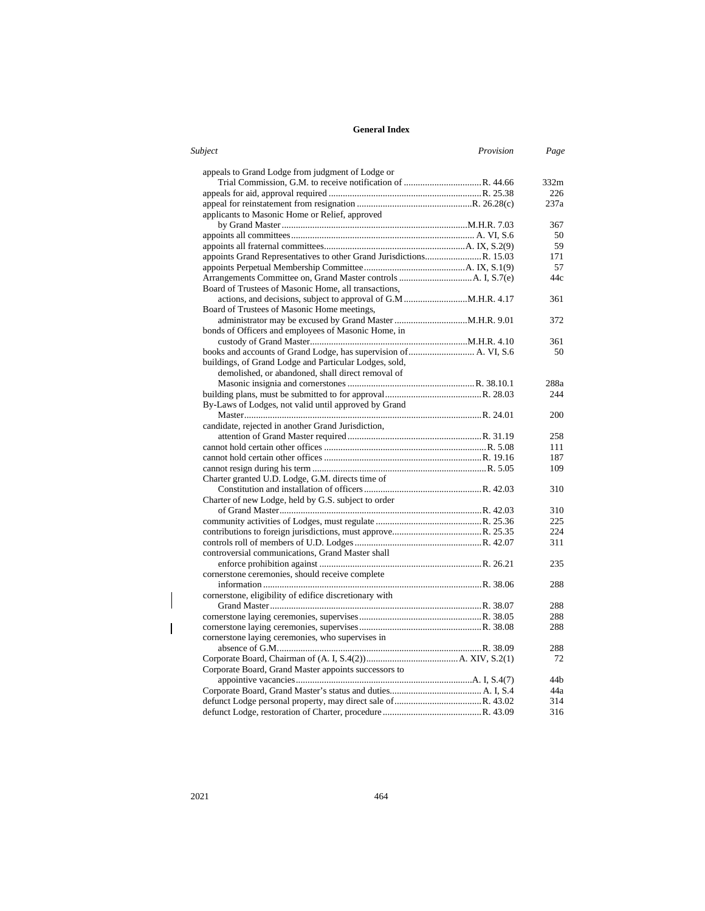| Subject                                                | Provision | Page |
|--------------------------------------------------------|-----------|------|
| appeals to Grand Lodge from judgment of Lodge or       |           |      |
|                                                        |           | 332m |
|                                                        |           | 226  |
|                                                        |           | 237a |
| applicants to Masonic Home or Relief, approved         |           |      |
|                                                        |           | 367  |
|                                                        |           | 50   |
|                                                        |           | 59   |
|                                                        |           | 171  |
|                                                        |           | 57   |
|                                                        |           | 44c  |
| Board of Trustees of Masonic Home, all transactions,   |           |      |
|                                                        |           | 361  |
| Board of Trustees of Masonic Home meetings,            |           |      |
|                                                        |           | 372  |
| bonds of Officers and employees of Masonic Home, in    |           |      |
|                                                        |           | 361  |
|                                                        |           | 50   |
| buildings, of Grand Lodge and Particular Lodges, sold, |           |      |
| demolished, or abandoned, shall direct removal of      |           |      |
|                                                        |           | 288a |
|                                                        |           | 244  |
| By-Laws of Lodges, not valid until approved by Grand   |           |      |
|                                                        |           | 200  |
| candidate, rejected in another Grand Jurisdiction,     |           |      |
|                                                        |           | 258  |
|                                                        |           | 111  |
|                                                        |           | 187  |
|                                                        |           | 109  |
| Charter granted U.D. Lodge, G.M. directs time of       |           |      |
|                                                        |           | 310  |
| Charter of new Lodge, held by G.S. subject to order    |           |      |
|                                                        |           | 310  |
|                                                        |           | 225  |
|                                                        |           | 224  |
|                                                        |           | 311  |
| controversial communications, Grand Master shall       |           |      |
|                                                        |           | 235  |
| cornerstone ceremonies, should receive complete        |           |      |
|                                                        |           | 288  |
| cornerstone, eligibility of edifice discretionary with |           |      |
|                                                        |           | 288  |
|                                                        |           | 288  |
|                                                        |           | 288  |
| cornerstone laying ceremonies, who supervises in       |           |      |
|                                                        |           | 288  |
|                                                        |           | 72   |
| Corporate Board, Grand Master appoints successors to   |           |      |
|                                                        |           | 44b  |
|                                                        |           | 44a  |
|                                                        |           | 314  |
|                                                        |           | 316  |

 $\bigg\}$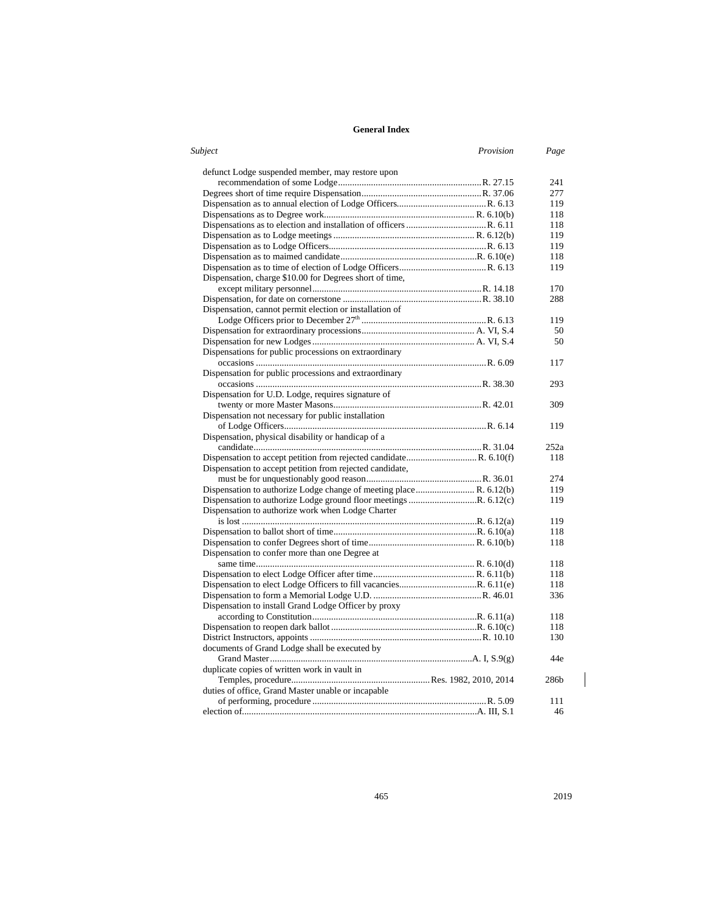| Subject                                                            | Provision | Page |
|--------------------------------------------------------------------|-----------|------|
| defunct Lodge suspended member, may restore upon                   |           |      |
|                                                                    |           | 241  |
|                                                                    |           | 277  |
|                                                                    |           | 119  |
|                                                                    |           | 118  |
|                                                                    |           | 118  |
|                                                                    |           | 119  |
|                                                                    |           | 119  |
|                                                                    |           | 118  |
|                                                                    |           | 119  |
| Dispensation, charge \$10.00 for Degrees short of time,            |           |      |
|                                                                    |           | 170  |
|                                                                    |           | 288  |
| Dispensation, cannot permit election or installation of            |           |      |
|                                                                    |           | 119  |
|                                                                    |           | 50   |
|                                                                    |           |      |
|                                                                    |           | 50   |
| Dispensations for public processions on extraordinary              |           |      |
|                                                                    |           | 117  |
| Dispensation for public processions and extraordinary              |           |      |
|                                                                    |           | 293  |
| Dispensation for U.D. Lodge, requires signature of                 |           |      |
|                                                                    |           | 309  |
| Dispensation not necessary for public installation                 |           |      |
|                                                                    |           | 119  |
| Dispensation, physical disability or handicap of a                 |           |      |
|                                                                    |           | 252a |
|                                                                    |           | 118  |
| Dispensation to accept petition from rejected candidate,           |           |      |
|                                                                    |           | 274  |
| Dispensation to authorize Lodge change of meeting place R. 6.12(b) |           | 119  |
|                                                                    |           | 119  |
| Dispensation to authorize work when Lodge Charter                  |           |      |
|                                                                    |           | 119  |
|                                                                    |           | 118  |
|                                                                    |           | 118  |
| Dispensation to confer more than one Degree at                     |           |      |
|                                                                    |           | 118  |
|                                                                    |           | 118  |
|                                                                    |           | 118  |
|                                                                    |           | 336  |
| Dispensation to install Grand Lodge Officer by proxy               |           |      |
|                                                                    |           | 118  |
|                                                                    |           | 118  |
|                                                                    |           | 130  |
| documents of Grand Lodge shall be executed by                      |           |      |
|                                                                    |           | 44e  |
| duplicate copies of written work in vault in                       |           |      |
|                                                                    |           | 286b |
| duties of office, Grand Master unable or incapable                 |           |      |
|                                                                    |           | 111  |
|                                                                    |           | 46   |
|                                                                    |           |      |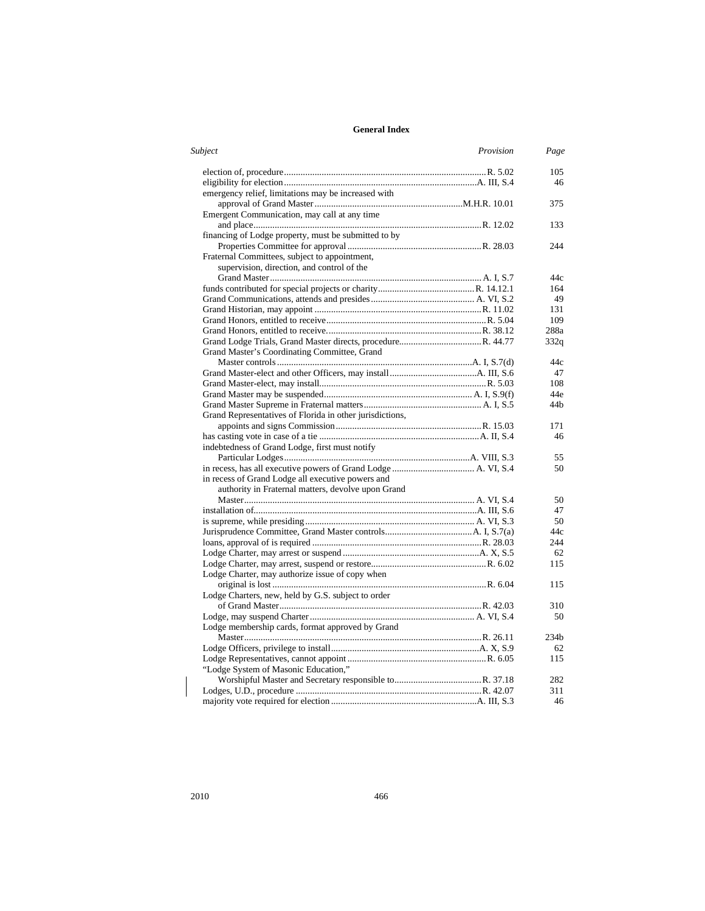| Subject                                                  | Provision | Page             |
|----------------------------------------------------------|-----------|------------------|
|                                                          |           | 105              |
|                                                          |           | 46               |
| emergency relief, limitations may be increased with      |           |                  |
|                                                          |           | 375              |
| Emergent Communication, may call at any time             |           |                  |
|                                                          |           | 133              |
| financing of Lodge property, must be submitted to by     |           |                  |
|                                                          |           | 244              |
| Fraternal Committees, subject to appointment,            |           |                  |
| supervision, direction, and control of the               |           |                  |
|                                                          |           | 44c              |
|                                                          |           | 164              |
|                                                          |           | 49               |
|                                                          |           | 131              |
|                                                          |           | 109              |
|                                                          |           | 288a             |
|                                                          |           | 332q             |
| Grand Master's Coordinating Committee, Grand             |           |                  |
|                                                          |           | 44c              |
|                                                          |           | 47               |
|                                                          |           | 108              |
|                                                          |           | 44e              |
|                                                          |           | 44b              |
| Grand Representatives of Florida in other jurisdictions, |           |                  |
|                                                          |           | 171              |
|                                                          |           | 46               |
| indebtedness of Grand Lodge, first must notify           |           |                  |
|                                                          |           | 55               |
|                                                          |           | 50               |
| in recess of Grand Lodge all executive powers and        |           |                  |
| authority in Fraternal matters, devolve upon Grand       |           |                  |
|                                                          |           |                  |
|                                                          |           | 50<br>47         |
|                                                          |           | 50               |
|                                                          |           |                  |
|                                                          |           | 44c              |
|                                                          |           | 244              |
|                                                          |           | 62               |
|                                                          |           | 115              |
| Lodge Charter, may authorize issue of copy when          |           |                  |
|                                                          |           | 115              |
| Lodge Charters, new, held by G.S. subject to order       |           |                  |
|                                                          |           | 310              |
|                                                          |           | 50               |
| Lodge membership cards, format approved by Grand         |           |                  |
|                                                          |           | 234 <sub>b</sub> |
|                                                          |           | 62               |
|                                                          |           | 115              |
| "Lodge System of Masonic Education,"                     |           |                  |
|                                                          |           | 282              |
|                                                          |           | 311              |
|                                                          |           | 46               |

 $\begin{array}{c} \hline \end{array}$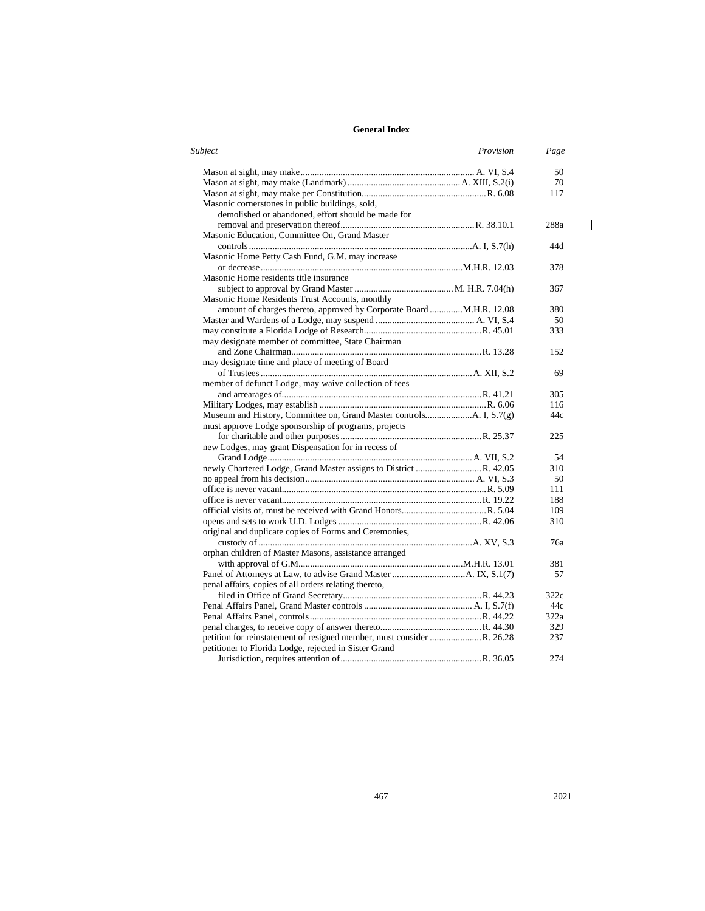| Subject                                                               | Provision | Page |
|-----------------------------------------------------------------------|-----------|------|
|                                                                       |           | 50   |
|                                                                       |           | 70   |
|                                                                       |           | 117  |
| Masonic cornerstones in public buildings, sold,                       |           |      |
| demolished or abandoned, effort should be made for                    |           |      |
|                                                                       |           | 288a |
| Masonic Education, Committee On, Grand Master                         |           |      |
|                                                                       |           | 44d  |
| Masonic Home Petty Cash Fund, G.M. may increase                       |           |      |
|                                                                       |           | 378  |
| Masonic Home residents title insurance                                |           |      |
|                                                                       |           | 367  |
| Masonic Home Residents Trust Accounts, monthly                        |           |      |
| amount of charges thereto, approved by Corporate Board  M.H.R. 12.08  |           | 380  |
|                                                                       |           | 50   |
|                                                                       |           | 333  |
| may designate member of committee, State Chairman                     |           |      |
|                                                                       |           | 152  |
| may designate time and place of meeting of Board                      |           |      |
|                                                                       |           | 69   |
| member of defunct Lodge, may waive collection of fees                 |           |      |
|                                                                       |           | 305  |
|                                                                       |           | 116  |
|                                                                       |           | 44c  |
| must approve Lodge sponsorship of programs, projects                  |           |      |
|                                                                       |           | 225  |
| new Lodges, may grant Dispensation for in recess of                   |           |      |
|                                                                       |           | 54   |
|                                                                       |           | 310  |
|                                                                       |           | 50   |
|                                                                       |           |      |
|                                                                       |           | 111  |
|                                                                       |           | 188  |
|                                                                       |           | 109  |
|                                                                       |           | 310  |
| original and duplicate copies of Forms and Ceremonies,                |           |      |
|                                                                       |           | 76a  |
| orphan children of Master Masons, assistance arranged                 |           |      |
|                                                                       |           | 381  |
|                                                                       |           | 57   |
| penal affairs, copies of all orders relating thereto,                 |           |      |
|                                                                       |           | 322c |
|                                                                       |           | 44c  |
|                                                                       |           | 322a |
|                                                                       |           | 329  |
| petition for reinstatement of resigned member, must consider R. 26.28 |           | 237  |
| petitioner to Florida Lodge, rejected in Sister Grand                 |           |      |
|                                                                       |           | 274  |

467 2021

 $\bar{\mathbf{l}}$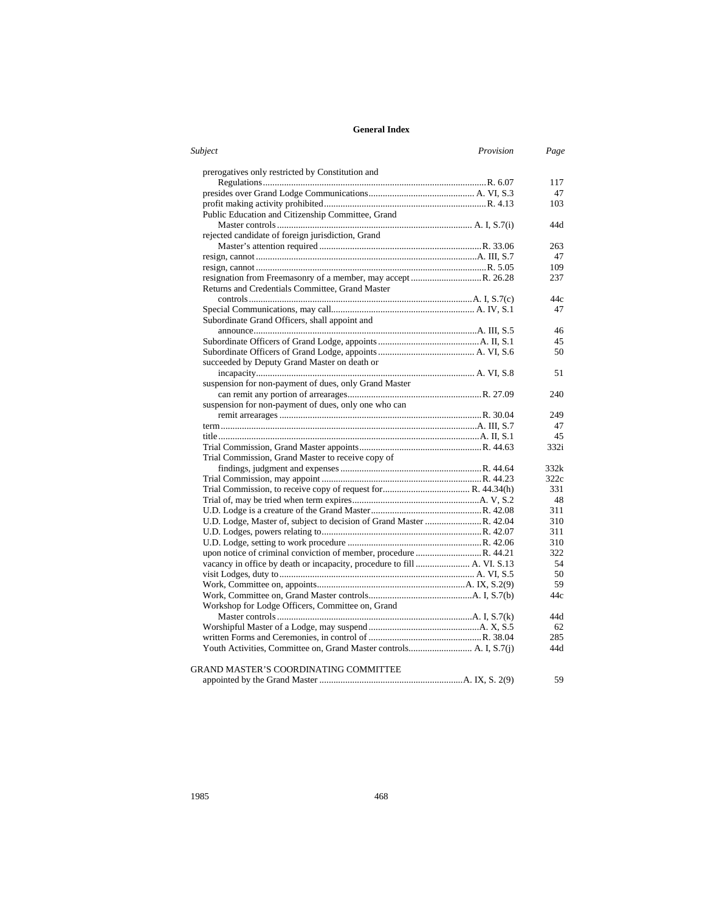| <b>Subject</b><br>Provision                                              | Page |
|--------------------------------------------------------------------------|------|
| prerogatives only restricted by Constitution and                         |      |
|                                                                          | 117  |
|                                                                          | 47   |
|                                                                          | 103  |
| Public Education and Citizenship Committee, Grand                        |      |
|                                                                          | 44d  |
| rejected candidate of foreign jurisdiction, Grand                        |      |
|                                                                          | 263  |
|                                                                          | 47   |
|                                                                          | 109  |
| resignation from Freemasonry of a member, may accept R. 26.28            | 237  |
| Returns and Credentials Committee, Grand Master                          |      |
|                                                                          | 44c  |
|                                                                          | 47   |
| Subordinate Grand Officers, shall appoint and                            |      |
|                                                                          | 46   |
|                                                                          | 45   |
|                                                                          | 50   |
| succeeded by Deputy Grand Master on death or                             |      |
|                                                                          | 51   |
| suspension for non-payment of dues, only Grand Master                    |      |
|                                                                          | 240  |
| suspension for non-payment of dues, only one who can                     |      |
|                                                                          | 249  |
|                                                                          | 47   |
|                                                                          | 45   |
|                                                                          | 332i |
| Trial Commission, Grand Master to receive copy of                        |      |
|                                                                          | 332k |
|                                                                          | 322c |
|                                                                          | 331  |
|                                                                          | 48   |
|                                                                          | 311  |
|                                                                          | 310  |
|                                                                          | 311  |
|                                                                          | 310  |
|                                                                          | 322  |
| vacancy in office by death or incapacity, procedure to fill  A. VI. S.13 | 54   |
|                                                                          | 50   |
|                                                                          | 59   |
|                                                                          | 44c  |
| Workshop for Lodge Officers, Committee on, Grand                         |      |
|                                                                          | 44d  |
|                                                                          | 62   |
|                                                                          | 285  |
|                                                                          | 44d  |
| GRAND MASTER'S COORDINATING COMMITTEE                                    |      |
|                                                                          | 59   |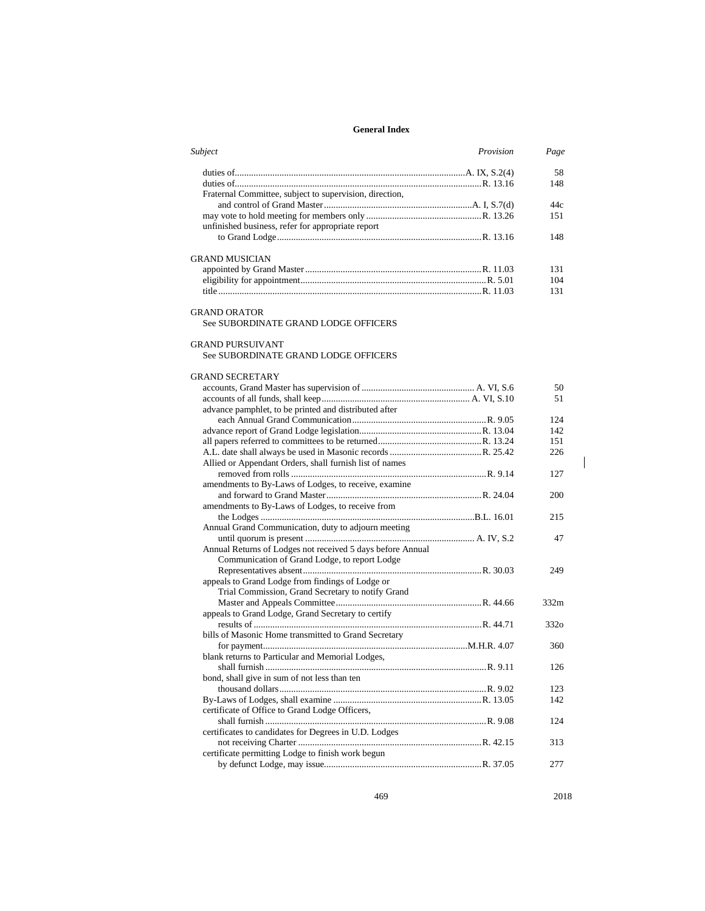| Subject                                                    | Provision | Page |
|------------------------------------------------------------|-----------|------|
|                                                            |           | 58   |
|                                                            |           | 148  |
| Fraternal Committee, subject to supervision, direction,    |           |      |
|                                                            |           | 44c  |
|                                                            |           | 151  |
| unfinished business, refer for appropriate report          |           |      |
|                                                            |           | 148  |
|                                                            |           |      |
| <b>GRAND MUSICIAN</b>                                      |           |      |
|                                                            |           | 131  |
|                                                            |           | 104  |
|                                                            |           | 131  |
|                                                            |           |      |
| <b>GRAND ORATOR</b>                                        |           |      |
| See SUBORDINATE GRAND LODGE OFFICERS                       |           |      |
|                                                            |           |      |
| <b>GRAND PURSUIVANT</b>                                    |           |      |
| See SUBORDINATE GRAND LODGE OFFICERS                       |           |      |
|                                                            |           |      |
| <b>GRAND SECRETARY</b>                                     |           |      |
|                                                            |           | 50   |
|                                                            |           | 51   |
| advance pamphlet, to be printed and distributed after      |           |      |
|                                                            |           | 124  |
|                                                            |           | 142  |
|                                                            |           | 151  |
|                                                            |           | 226  |
| Allied or Appendant Orders, shall furnish list of names    |           |      |
|                                                            |           | 127  |
| amendments to By-Laws of Lodges, to receive, examine       |           |      |
|                                                            |           | 200  |
| amendments to By-Laws of Lodges, to receive from           |           |      |
|                                                            |           | 215  |
| Annual Grand Communication, duty to adjourn meeting        |           |      |
|                                                            |           | 47   |
| Annual Returns of Lodges not received 5 days before Annual |           |      |
| Communication of Grand Lodge, to report Lodge              |           |      |
|                                                            |           | 249  |
| appeals to Grand Lodge from findings of Lodge or           |           |      |
| Trial Commission, Grand Secretary to notify Grand          |           |      |
|                                                            |           | 332m |
| appeals to Grand Lodge, Grand Secretary to certify         |           |      |
|                                                            |           | 3320 |
| bills of Masonic Home transmitted to Grand Secretary       |           |      |
|                                                            |           | 360  |
| blank returns to Particular and Memorial Lodges,           |           |      |
|                                                            |           | 126  |
| bond, shall give in sum of not less than ten               |           |      |
|                                                            |           | 123  |
|                                                            |           | 142  |
| certificate of Office to Grand Lodge Officers,             |           |      |
|                                                            |           | 124  |
| certificates to candidates for Degrees in U.D. Lodges      |           |      |
|                                                            |           | 313  |
| certificate permitting Lodge to finish work begun          |           |      |
|                                                            |           | 277  |
|                                                            |           |      |

469 2018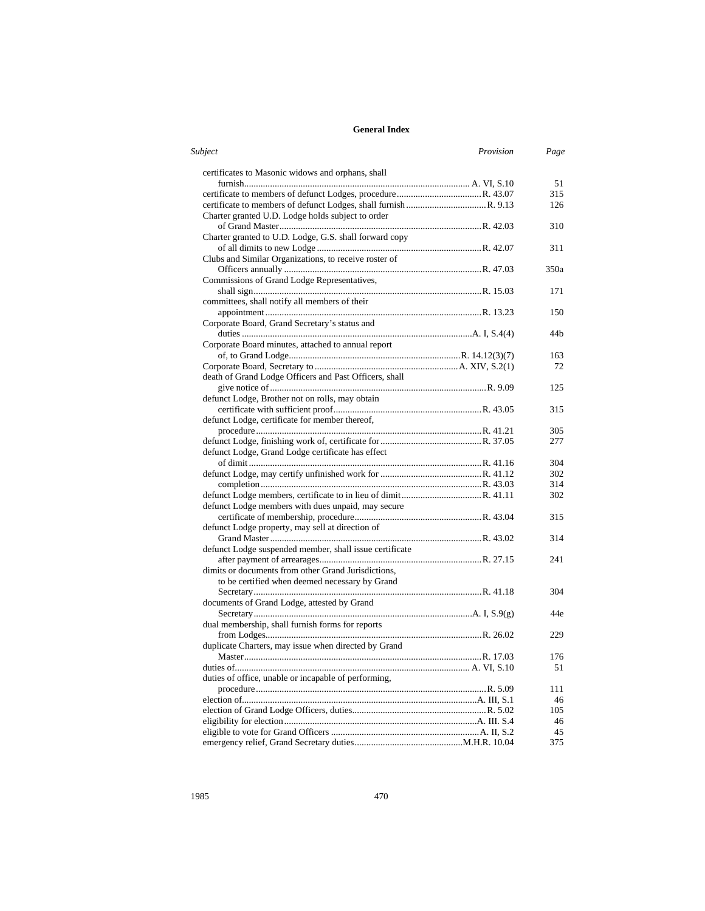| Subject<br>Provision                                    | Page |
|---------------------------------------------------------|------|
| certificates to Masonic widows and orphans, shall       |      |
|                                                         | 51   |
|                                                         | 315  |
|                                                         | 126  |
| Charter granted U.D. Lodge holds subject to order       |      |
|                                                         | 310  |
| Charter granted to U.D. Lodge, G.S. shall forward copy  |      |
|                                                         | 311  |
| Clubs and Similar Organizations, to receive roster of   |      |
|                                                         | 350a |
| Commissions of Grand Lodge Representatives,             |      |
|                                                         | 171  |
| committees, shall notify all members of their           |      |
|                                                         | 150  |
| Corporate Board, Grand Secretary's status and           |      |
|                                                         | 44 h |
| Corporate Board minutes, attached to annual report      |      |
|                                                         | 163  |
|                                                         | 72   |
| death of Grand Lodge Officers and Past Officers, shall  |      |
|                                                         | 125  |
| defunct Lodge, Brother not on rolls, may obtain         |      |
|                                                         | 315  |
| defunct Lodge, certificate for member thereof,          |      |
|                                                         | 305  |
|                                                         | 277  |
| defunct Lodge, Grand Lodge certificate has effect       |      |
|                                                         | 304  |
|                                                         | 302  |
|                                                         | 314  |
|                                                         | 302  |
| defunct Lodge members with dues unpaid, may secure      |      |
|                                                         | 315  |
| defunct Lodge property, may sell at direction of        |      |
|                                                         | 314  |
| defunct Lodge suspended member, shall issue certificate |      |
|                                                         | 241  |
| dimits or documents from other Grand Jurisdictions,     |      |
| to be certified when deemed necessary by Grand          |      |
|                                                         | 304  |
| documents of Grand Lodge, attested by Grand             |      |
|                                                         | 44e  |
| dual membership, shall furnish forms for reports        |      |
|                                                         | 229  |
| duplicate Charters, may issue when directed by Grand    |      |
|                                                         | 176  |
|                                                         | 51   |
| duties of office, unable or incapable of performing,    |      |
|                                                         | 111  |
|                                                         | 46   |
|                                                         | 105  |
|                                                         | 46   |
|                                                         | 45   |
|                                                         | 375  |
|                                                         |      |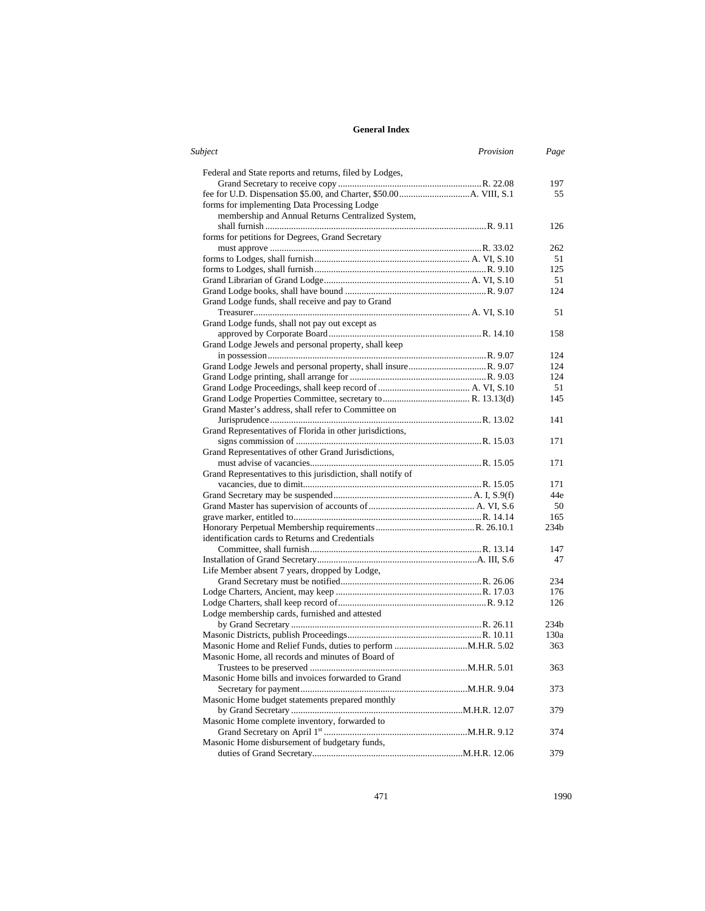| Subject                                                     | Provision | Page |
|-------------------------------------------------------------|-----------|------|
| Federal and State reports and returns, filed by Lodges,     |           |      |
|                                                             |           | 197  |
|                                                             |           | 55   |
| forms for implementing Data Processing Lodge                |           |      |
| membership and Annual Returns Centralized System,           |           |      |
|                                                             |           | 126  |
| forms for petitions for Degrees, Grand Secretary            |           |      |
|                                                             |           | 262  |
|                                                             |           | 51   |
|                                                             |           | 125  |
|                                                             |           | 51   |
|                                                             |           | 124  |
| Grand Lodge funds, shall receive and pay to Grand           |           |      |
|                                                             |           | 51   |
| Grand Lodge funds, shall not pay out except as              |           |      |
|                                                             |           | 158  |
| Grand Lodge Jewels and personal property, shall keep        |           |      |
|                                                             |           | 124  |
|                                                             |           | 124  |
|                                                             |           | 124  |
|                                                             |           | 51   |
|                                                             |           | 145  |
| Grand Master's address, shall refer to Committee on         |           |      |
|                                                             |           | 141  |
| Grand Representatives of Florida in other jurisdictions,    |           |      |
|                                                             |           | 171  |
| Grand Representatives of other Grand Jurisdictions,         |           |      |
|                                                             |           | 171  |
| Grand Representatives to this jurisdiction, shall notify of |           |      |
|                                                             |           | 171  |
|                                                             |           | 44e  |
|                                                             |           |      |
|                                                             |           | 50   |
|                                                             |           | 165  |
|                                                             |           | 234b |
| identification cards to Returns and Credentials             |           |      |
|                                                             |           | 147  |
|                                                             |           | 47   |
| Life Member absent 7 years, dropped by Lodge,               |           |      |
|                                                             |           | 234  |
|                                                             |           | 176  |
|                                                             |           | 126  |
| Lodge membership cards, furnished and attested              |           |      |
|                                                             |           | 234b |
|                                                             |           | 130a |
|                                                             |           | 363  |
| Masonic Home, all records and minutes of Board of           |           |      |
|                                                             |           | 363  |
| Masonic Home bills and invoices forwarded to Grand          |           |      |
|                                                             |           | 373  |
| Masonic Home budget statements prepared monthly             |           |      |
|                                                             |           | 379  |
| Masonic Home complete inventory, forwarded to               |           |      |
|                                                             |           | 374  |
| Masonic Home disbursement of budgetary funds,               |           |      |
|                                                             |           | 379  |

471 1990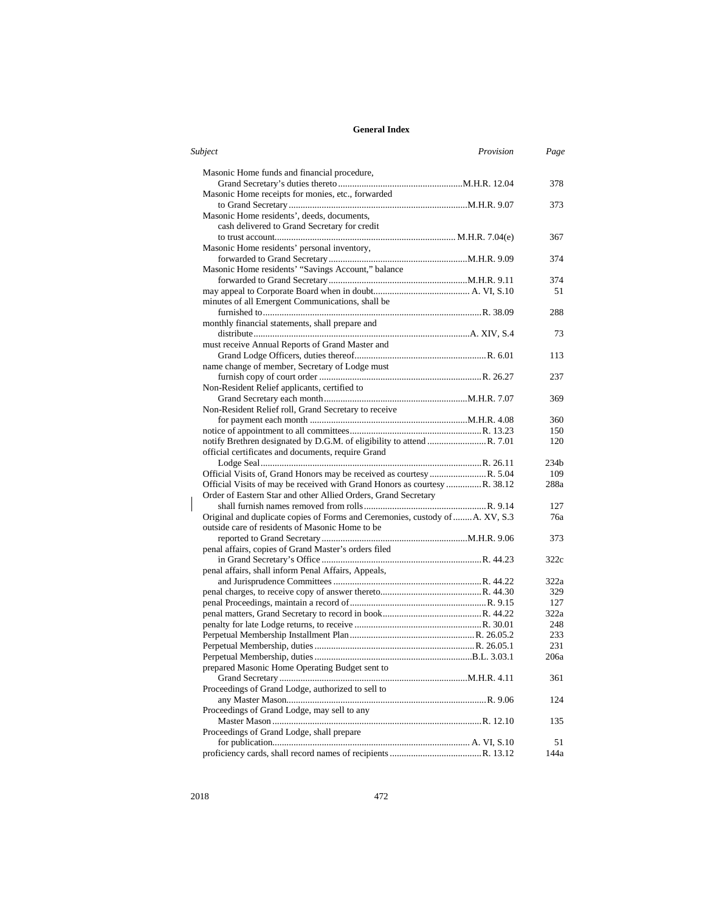| Subject<br>Provision                                                          | Page             |
|-------------------------------------------------------------------------------|------------------|
| Masonic Home funds and financial procedure,                                   |                  |
|                                                                               | 378              |
| Masonic Home receipts for monies, etc., forwarded                             |                  |
|                                                                               | 373              |
| Masonic Home residents', deeds, documents,                                    |                  |
| cash delivered to Grand Secretary for credit                                  |                  |
|                                                                               | 367              |
| Masonic Home residents' personal inventory,                                   |                  |
|                                                                               | 374              |
| Masonic Home residents' "Savings Account," balance                            |                  |
|                                                                               | 374              |
|                                                                               | 51               |
| minutes of all Emergent Communications, shall be                              |                  |
|                                                                               | 288              |
| monthly financial statements, shall prepare and                               |                  |
|                                                                               | 73               |
| must receive Annual Reports of Grand Master and                               |                  |
|                                                                               | 113              |
| name change of member, Secretary of Lodge must                                |                  |
|                                                                               | 237              |
| Non-Resident Relief applicants, certified to                                  |                  |
|                                                                               | 369              |
| Non-Resident Relief roll, Grand Secretary to receive                          |                  |
|                                                                               | 360              |
|                                                                               | 150              |
|                                                                               | 120              |
| official certificates and documents, require Grand                            |                  |
|                                                                               | 234 <sub>b</sub> |
|                                                                               | 109              |
| Official Visits of may be received with Grand Honors as courtesy  R. 38.12    | 288a             |
| Order of Eastern Star and other Allied Orders, Grand Secretary                |                  |
|                                                                               | 127              |
| Original and duplicate copies of Forms and Ceremonies, custody of  A. XV, S.3 | 76a              |
| outside care of residents of Masonic Home to be                               |                  |
|                                                                               | 373              |
| penal affairs, copies of Grand Master's orders filed                          |                  |
|                                                                               | 322c             |
| penal affairs, shall inform Penal Affairs, Appeals,                           |                  |
|                                                                               | 322a             |
|                                                                               | 329              |
|                                                                               | 127              |
|                                                                               | 322a             |
|                                                                               | 248              |
|                                                                               | 233              |
|                                                                               | 231              |
|                                                                               | 206a             |
| prepared Masonic Home Operating Budget sent to                                |                  |
|                                                                               | 361              |
| Proceedings of Grand Lodge, authorized to sell to                             |                  |
|                                                                               | 124              |
| Proceedings of Grand Lodge, may sell to any                                   |                  |
|                                                                               | 135              |
| Proceedings of Grand Lodge, shall prepare                                     |                  |
|                                                                               | 51               |
|                                                                               | 144a             |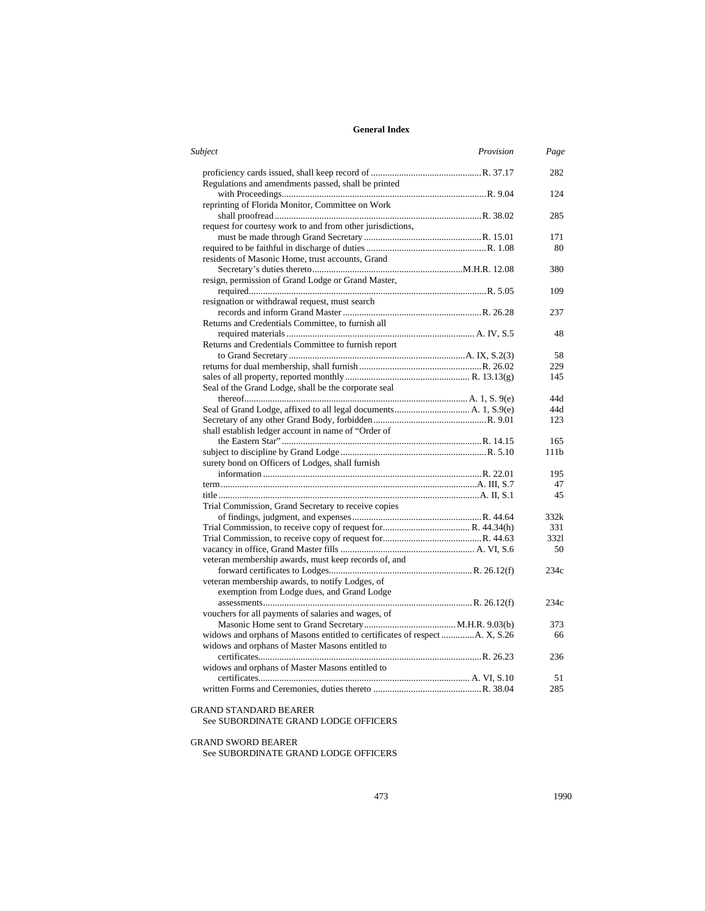| Subject                                                                      | Provision | Page |
|------------------------------------------------------------------------------|-----------|------|
| Regulations and amendments passed, shall be printed                          |           | 282  |
|                                                                              |           | 124  |
| reprinting of Florida Monitor, Committee on Work                             |           |      |
|                                                                              |           | 285  |
| request for courtesy work to and from other jurisdictions,                   |           |      |
|                                                                              |           | 171  |
|                                                                              |           | 80   |
| residents of Masonic Home, trust accounts, Grand                             |           |      |
|                                                                              |           | 380  |
| resign, permission of Grand Lodge or Grand Master,                           |           |      |
|                                                                              |           | 109  |
| resignation or withdrawal request, must search                               |           |      |
|                                                                              |           | 237  |
| Returns and Credentials Committee, to furnish all                            |           |      |
|                                                                              |           | 48   |
| Returns and Credentials Committee to furnish report                          |           |      |
|                                                                              |           | 58   |
|                                                                              |           | 229  |
|                                                                              |           | 145  |
| Seal of the Grand Lodge, shall be the corporate seal                         |           |      |
|                                                                              |           | 44d  |
|                                                                              |           | 44d  |
|                                                                              |           | 123  |
| shall establish ledger account in name of "Order of                          |           |      |
|                                                                              |           | 165  |
|                                                                              |           | 111b |
| surety bond on Officers of Lodges, shall furnish                             |           |      |
|                                                                              |           | 195  |
|                                                                              |           | 47   |
|                                                                              |           | 45   |
| Trial Commission, Grand Secretary to receive copies                          |           |      |
|                                                                              |           | 332k |
|                                                                              |           | 331  |
|                                                                              |           | 3321 |
|                                                                              |           | 50   |
| veteran membership awards, must keep records of, and                         |           |      |
|                                                                              |           | 234c |
| veteran membership awards, to notify Lodges, of                              |           |      |
| exemption from Lodge dues, and Grand Lodge                                   |           |      |
|                                                                              |           | 234c |
| vouchers for all payments of salaries and wages, of                          |           |      |
|                                                                              |           | 373  |
| widows and orphans of Masons entitled to certificates of respect  A. X, S.26 |           | 66   |
| widows and orphans of Master Masons entitled to                              |           |      |
|                                                                              |           | 236  |
| widows and orphans of Master Masons entitled to                              |           |      |
|                                                                              |           | 51   |
|                                                                              |           | 285  |

#### GRAND STANDARD BEARER

See SUBORDINATE GRAND LODGE OFFICERS

## GRAND SWORD BEARER

See SUBORDINATE GRAND LODGE OFFICERS